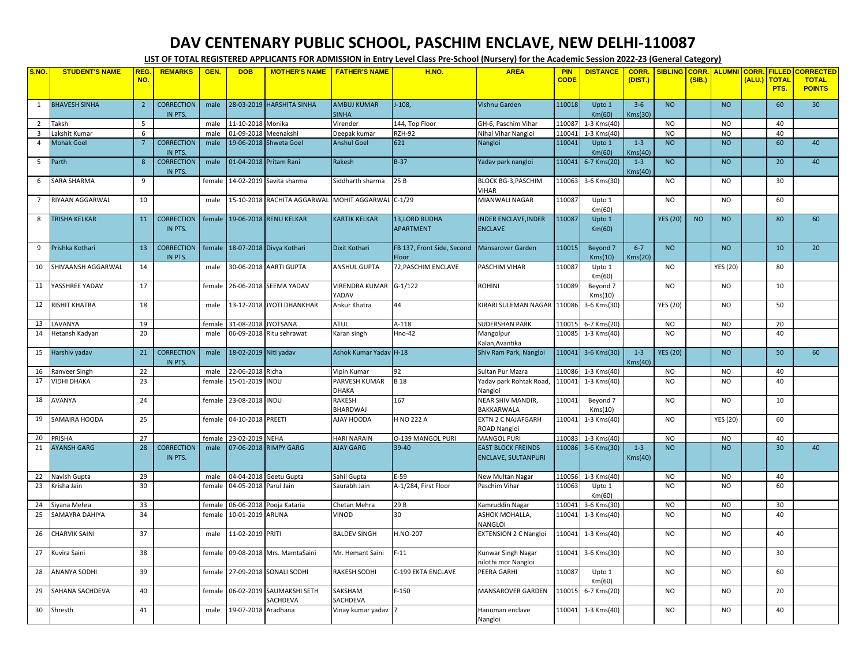## **DAV CENTENARY PUBLIC SCHOOL, PASCHIM ENCLAVE, NEW DELHI-110087**

**LIST OF TOTAL REGISTERED APPLICANTS FOR ADMISSION in Entry Level Class Pre-School (Nursery) for the Academic Session 2022-23 (General Category)**

| S.NO                    | <b>STUDENT'S NAME</b> | <b>REG</b>     | <b>REMARKS</b>               | GEN.   | <b>DOB</b>            | <b>MOTHER'S NAME</b>                              | <b>FATHER'S NAME</b>               | H.NO.                                    | <b>AREA</b>                                             | <b>PIN</b>  | <b>DISTANCE</b>     | CORR.              | <b>SIBLING</b>  | <b>CORR.</b> | <b>ALUMNI CORR.</b> |        | <b>FILLED</b>        | <b>CORRECTED</b>              |
|-------------------------|-----------------------|----------------|------------------------------|--------|-----------------------|---------------------------------------------------|------------------------------------|------------------------------------------|---------------------------------------------------------|-------------|---------------------|--------------------|-----------------|--------------|---------------------|--------|----------------------|-------------------------------|
|                         |                       | NO.            |                              |        |                       |                                                   |                                    |                                          |                                                         | <b>CODE</b> |                     | (DIST.)            |                 | (SIB.)       |                     | (ALU.) | <b>TOTAL</b><br>PTS. | <b>TOTAL</b><br><b>POINTS</b> |
| 1                       | <b>BHAVESH SINHA</b>  | $\overline{2}$ | <b>CORRECTION</b><br>IN PTS. | male   |                       | 28-03-2019 HARSHITA SINHA                         | <b>AMBUJ KUMAR</b><br><b>SINHA</b> | $J-108$                                  | Vishnu Garden                                           | 110018      | Upto 1<br>Km(60)    | $3 - 6$<br>Kms(30) | <b>NO</b>       |              | <b>NO</b>           |        | 60                   | 30                            |
| 2                       | Taksh                 | 5              |                              | male   | 11-10-2018 Monika     |                                                   | Virender                           | 144, Top Floor                           | GH-6, Paschim Vihar                                     | 110087      | 1-3 Kms(40)         |                    | <b>NO</b>       |              | NO.                 |        | 40                   |                               |
| $\overline{\mathbf{3}}$ | akshit Kumar          | 6              |                              | male   | 01-09-2018 Meenakshi  |                                                   | Deepak kumar                       | <b>RZH-92</b>                            | Nihal Vihar Nangloi                                     | 110041      | $1-3$ Kms $(40)$    |                    | <b>NO</b>       |              | <b>NO</b>           |        | 40                   |                               |
| $\overline{4}$          | <b>Mohak Goel</b>     | $\overline{7}$ | <b>CORRECTION</b><br>IN PTS. | male   |                       | 19-06-2018 Shweta Goel                            | <b>Anshul Goel</b>                 | 621                                      | Nangloi                                                 | 110041      | Upto 1<br>Km(60)    | $1 - 3$<br>Kms(40) | <b>NO</b>       |              | <b>NO</b>           |        | 60                   | 40                            |
| 5                       | Parth                 | $\mathbf{8}$   | <b>CORRECTION</b><br>IN PTS. | male   |                       | 01-04-2018 Pritam Rani                            | Rakesh                             | $B-37$                                   | Yadav park nangloi                                      | 110041      | 6-7 Kms(20)         | $1 - 3$<br>Kms(40) | <b>NO</b>       |              | <b>NO</b>           |        | 20                   | 40                            |
| 6                       | SARA SHARMA           | 9              |                              | female |                       | 14-02-2019 Savita sharma                          | Siddharth sharma                   | 25B                                      | BLOCK BG-3, PASCHIM<br><b>VIHAR</b>                     | 110063      | 3-6 Kms(30)         |                    | <b>NO</b>       |              | <b>NO</b>           |        | 30                   |                               |
| 7                       | RIYAAN AGGARWAL       | 10             |                              | male   |                       | 15-10-2018 RACHITA AGGARWAL MOHIT AGGARWAL C-1/29 |                                    |                                          | MIANWALI NAGAR                                          | 110087      | Upto 1<br>Km(60)    |                    | <b>NO</b>       |              | <b>NO</b>           |        | 60                   |                               |
| 8                       | <b>TRISHA KELKAR</b>  | 11             | <b>CORRECTION</b><br>IN PTS. | female |                       | 19-06-2018 RENU KELKAR                            | <b>KARTIK KELKAR</b>               | <b>13.LORD BUDHA</b><br><b>APARTMENT</b> | <b>INDER ENCLAVE.INDER</b><br><b>ENCLAVE</b>            | 110087      | Upto 1<br>Km(60)    |                    | <b>YES (20)</b> | <b>NO</b>    | <b>NO</b>           |        | 80                   | 60                            |
| 9                       | Prishka Kothari       | 13             | <b>CORRECTION</b><br>IN PTS. | female |                       | 18-07-2018 Divya Kothari                          | Dixit Kothari                      | FB 137, Front Side, Second<br>Floor      | Mansarover Garden                                       | 110015      | Beyond 7<br>Kms(10) | $6 - 7$<br>Kms(20) | <b>NO</b>       |              | <b>NO</b>           |        | 10                   | 20                            |
| 10                      | SHIVAANSH AGGARWAL    | 14             |                              | male   |                       | 30-06-2018 AARTI GUPTA                            | <b>ANSHUL GUPTA</b>                | 72, PASCHIM ENCLAVE                      | PASCHIM VIHAR                                           | 110087      | Upto 1<br>Km(60)    |                    | <b>NO</b>       |              | <b>YES (20)</b>     |        | 80                   |                               |
| 11                      | YASSHREE YADAV        | 17             |                              | female |                       | 26-06-2018 SEEMA YADAV                            | <b>VIRENDRA KUMAR</b><br>YADAV     | $G-1/122$                                | <b>ROHINI</b>                                           | 110089      | Beyond 7<br>Kms(10) |                    | <b>NO</b>       |              | <b>NO</b>           |        | 10                   |                               |
| 12                      | RISHIT KHATRA         | 18             |                              | male   |                       | 13-12-2018 JYOTI DHANKHAR                         | Ankur Khatra                       | 44                                       | KIRARI SULEMAN NAGAR 110086                             |             | 3-6 Kms(30)         |                    | <b>YES (20)</b> |              | <b>NO</b>           |        | 50                   |                               |
| 13                      | <b>AVANYA</b>         | 19             |                              | female | 31-08-2018 JYOTSANA   |                                                   | <b>ATUL</b>                        | $A-118$                                  | <b>SUDERSHAN PARK</b>                                   | 110015      | 6-7 Kms(20)         |                    | <b>NO</b>       |              | <b>NO</b>           |        | 20                   |                               |
| 14                      | Hetansh Kadyan        | 20             |                              | male   |                       | 06-09-2018 Ritu sehrawat                          | Karan singh                        | <b>Hno-42</b>                            | Mangolpur<br>Kalan, Avantika                            |             | 110085 1-3 Kms(40)  |                    | <b>NO</b>       |              | <b>NO</b>           |        | 40                   |                               |
| 15                      | Harshiv yadav         | 21             | <b>CORRECTION</b><br>IN PTS. | male   | 18-02-2019 Niti yadav |                                                   | Ashok Kumar Yadav H-18             |                                          | Shiv Ram Park, Nangloi                                  | 110041      | 3-6 Kms(30)         | $1 - 3$<br>Kms(40) | <b>YES (20)</b> |              | <b>NO</b>           |        | 50                   | 60                            |
| 16                      | <b>Ranveer Singh</b>  | 22             |                              | male   | 22-06-2018 Richa      |                                                   | Vipin Kumar                        | 92                                       | Sultan Pur Mazra                                        | 110086      | $1-3$ Kms $(40)$    |                    | <b>NO</b>       |              | <b>NO</b>           |        | 40                   |                               |
| 17                      | <b>VIDHI DHAKA</b>    | 23             |                              | female | 15-01-2019 INDU       |                                                   | PARVESH KUMAR<br>DHAKA             | <b>B</b> 18                              | Yadav park Rohtak Road,<br>Nangloi                      |             | 110041 1-3 Kms(40)  |                    | <b>NO</b>       |              | <b>NO</b>           |        | 40                   |                               |
| 18                      | <b>AVANYA</b>         | 24             |                              | female | 23-08-2018 INDU       |                                                   | RAKESH<br>BHARDWAJ                 | 167                                      | NEAR SHIV MANDIR,<br>BAKKARWALA                         | 110041      | Beyond 7<br>Kms(10) |                    | <b>NO</b>       |              | <b>NO</b>           |        | 10                   |                               |
| 19                      | SAMAIRA HOODA         | 25             |                              | female | 04-10-2018 PREETI     |                                                   | AJAY HOODA                         | H NO 222 A                               | EXTN 2 C NAJAFGARH<br>ROAD Nangloi                      | 110041      | 1-3 Kms(40)         |                    | <b>NO</b>       |              | <b>YES (20)</b>     |        | 60                   |                               |
| 20                      | PRISHA                | 27             |                              | female | 23-02-2019 NEHA       |                                                   | <b>HARI NARAIN</b>                 | O-139 MANGOL PURI                        | <b>MANGOL PURI</b>                                      | 110083      | 1-3 Kms(40)         |                    | <b>NO</b>       |              | <b>NO</b>           |        | 40                   |                               |
| 21                      | <b>AYANSH GARG</b>    | 28             | <b>CORRECTION</b><br>IN PTS. | male   |                       | 07-06-2018 RIMPY GARG                             | <b>AJAY GARG</b>                   | 39-40                                    | <b>EAST BLOCK FREINDS</b><br><b>ENCLAVE, SULTANPURI</b> | 110086      | 3-6 Kms(30)         | $1 - 3$<br>Kms(40) | <b>NO</b>       |              | <b>NO</b>           |        | 30 <sup>°</sup>      | 40                            |
| 22                      | Navish Gupta          | 29             |                              | male   |                       | 04-04-2018 Geetu Gupta                            | Sahil Gupta                        | E-59                                     | New Multan Nagar                                        |             | 110056 1-3 Kms(40)  |                    | <b>NO</b>       |              | <b>NO</b>           |        | 40                   |                               |
| 23                      | Krisha Jain           | 30             |                              | female | 04-05-2018 Parul Jain |                                                   | Saurabh Jain                       | A-1/284, First Floor                     | Paschim Vihar                                           | 110063      | Upto 1<br>Km(60)    |                    | <b>NO</b>       |              | <b>NO</b>           |        | 60                   |                               |
| 24                      | Siyana Mehra          | 33             |                              | female |                       | 06-06-2018 Pooja Kataria                          | Chetan Mehra                       | 29B                                      | Kamruddin Nagar                                         | 110041      | 3-6 Kms(30)         |                    | <b>NO</b>       |              | <b>NO</b>           |        | 30                   |                               |
| 25                      | SAMAYRA DAHIYA        | 34             |                              | female | 10-01-2019 ARUNA      |                                                   | VINOD                              | 30                                       | ASHOK MOHALLA,<br>NANGLOI                               |             | 110041 1-3 Kms(40)  |                    | <b>NO</b>       |              | <b>NO</b>           |        | 40                   |                               |
| 26                      | CHARVIK SAINI         | 37             |                              | male   | 11-02-2019 PRITI      |                                                   | <b>BALDEV SINGH</b>                | H.NO-207                                 | <b>EXTENSION 2 C Nangloi</b>                            | 110041      | 1-3 Kms(40)         |                    | <b>NO</b>       |              | <b>NO</b>           |        | 40                   |                               |
| 27                      | Kuvira Saini          | 38             |                              | female |                       | 09-08-2018 Mrs. MamtaSaini                        | Mr. Hemant Saini                   | $F-11$                                   | Kunwar Singh Nagar<br>nilothi mor Nangloi               |             | 110041 3-6 Kms(30)  |                    | <b>NO</b>       |              | <b>NO</b>           |        | 30                   |                               |
| 28                      | ANANYA SODHI          | 39             |                              | female |                       | 27-09-2018 SONALI SODHI                           | RAKESH SODHI                       | C-199 EKTA ENCLAVE                       | PEERA GARHI                                             | 110087      | Upto 1<br>Km(60)    |                    | <b>NO</b>       |              | <b>NO</b>           |        | 60                   |                               |
| 29                      | SAHANA SACHDEVA       | 40             |                              | female |                       | 06-02-2019 SAUMAKSHI SETH<br>SACHDEVA             | SAKSHAM<br>SACHDEVA                | $F-150$                                  | MANSAROVER GARDEN                                       | 110015      | 6-7 Kms(20)         |                    | <b>NO</b>       |              | <b>NO</b>           |        | 20                   |                               |
| 30                      | Shresth               | 41             |                              | male   | 19-07-2018 Aradhana   |                                                   | Vinay kumar yadav                  |                                          | Hanuman enclave<br>Nangloi                              |             | 110041 1-3 Kms(40)  |                    | <b>NO</b>       |              | <b>NO</b>           |        | 40                   |                               |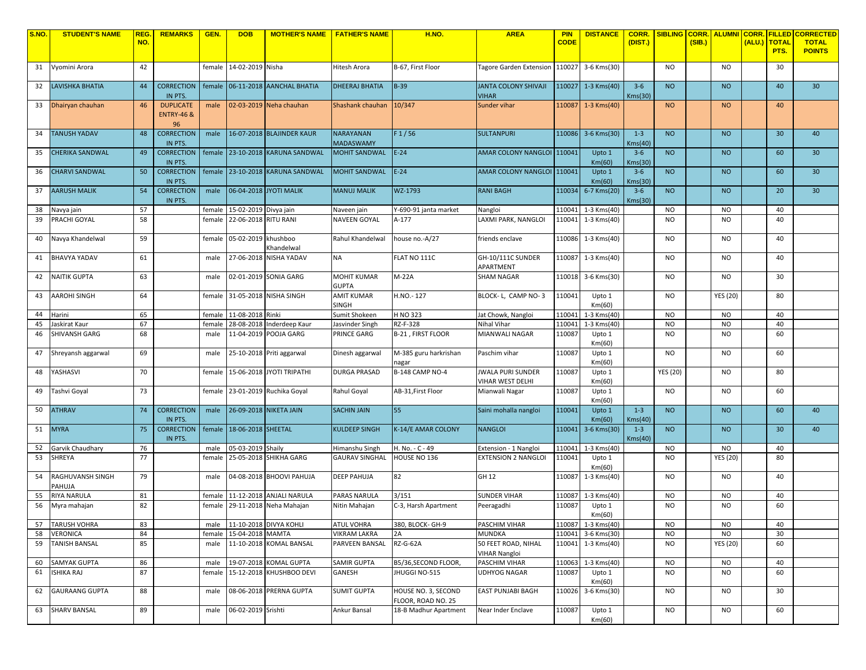| <b>S.NO.</b> | <b>STUDENT'S NAME</b>  | <b>REG</b> | <b>REMARKS</b>               | GEN.   | <b>DOB</b>            | <b>MOTHER'S NAME   FATHER'S NAME</b> |                                       | <b>H.NO.</b>          | <b>AREA</b>                                 | <b>PIN</b>  | <b>DISTANCE</b>       | CORR.              | <b>SIBLING</b>  |        | <mark> CORR.   ALUMNI   CORR.</mark> |        | <b>FILLED</b>   | <b>CORRECTED</b> |
|--------------|------------------------|------------|------------------------------|--------|-----------------------|--------------------------------------|---------------------------------------|-----------------------|---------------------------------------------|-------------|-----------------------|--------------------|-----------------|--------|--------------------------------------|--------|-----------------|------------------|
|              |                        | NO.        |                              |        |                       |                                      |                                       |                       |                                             | <b>CODE</b> |                       | (DIST.)            |                 | (SIB.) |                                      | (ALU.) | <b>TOTAL</b>    | <b>TOTAL</b>     |
|              |                        |            |                              |        |                       |                                      |                                       |                       |                                             |             |                       |                    |                 |        |                                      |        | PTS.            | <b>POINTS</b>    |
| 31           | Vyomini Arora          | 42         |                              | female | 14-02-2019 Nisha      |                                      | Hitesh Arora                          | B-67, First Floor     | Tagore Garden Extension                     |             | 110027 3-6 Kms(30)    |                    | <b>NO</b>       |        | <b>NO</b>                            |        | 30              |                  |
|              |                        |            |                              |        |                       |                                      |                                       |                       |                                             |             |                       |                    |                 |        |                                      |        |                 |                  |
| 32           | <b>AVISHKA BHATIA</b>  | 44         | <b>CORRECTION</b>            | female |                       | 06-11-2018 AANCHAL BHATIA            | <b>DHEERAJ BHATIA</b>                 | <b>B-39</b>           | <b>JANTA COLONY SHIVAJI</b>                 |             | $110027$ 1-3 Kms(40)  | $3 - 6$            | <b>NO</b>       |        | <b>NO</b>                            |        | 40              | 30 <sup>°</sup>  |
|              |                        |            | IN PTS.                      |        |                       |                                      |                                       |                       | <b>VIHAR</b>                                |             |                       | Kms(30)            |                 |        |                                      |        |                 |                  |
| 33           | Dhairyan chauhan       | 46         | <b>DUPLICATE</b>             | male   |                       | 02-03-2019 Neha chauhan              | Shashank chauhan                      | 10/347                | Sunder vihar                                |             | 110087 1-3 Kms(40)    |                    | <b>NO</b>       |        | <b>NO</b>                            |        | 40              |                  |
|              |                        |            | <b>ENTRY-46 &amp;</b>        |        |                       |                                      |                                       |                       |                                             |             |                       |                    |                 |        |                                      |        |                 |                  |
|              |                        |            | 96                           |        |                       |                                      |                                       |                       |                                             |             |                       |                    |                 |        |                                      |        |                 |                  |
| 34           | <b>TANUSH YADAV</b>    | 48         | <b>CORRECTION</b>            | male   |                       | 16-07-2018 BLAJINDER KAUR            | <b>NARAYANAN</b>                      | F1/56                 | <b>SULTANPURI</b>                           |             | 110086 3-6 Kms(30)    | $1 - 3$            | <b>NO</b>       |        | <b>NO</b>                            |        | 30              | 40               |
|              |                        |            | IN PTS.                      |        |                       |                                      | <b>MADASWAMY</b>                      |                       |                                             |             |                       | Kms(40)            |                 |        |                                      |        |                 |                  |
| 35           | <b>CHERIKA SANDWAL</b> | 49         | <b>CORRECTION</b>            | female |                       | 23-10-2018 KARUNA SANDWAL            | <b>MOHIT SANDWAL</b>                  | $E-24$                | AMAR COLONY NANGLOI 110041                  |             | Upto 1                | $3 - 6$            | <b>NO</b>       |        | <b>NO</b>                            |        | 60              | 30               |
|              |                        |            | IN PTS.                      |        |                       |                                      |                                       |                       |                                             |             | Km(60)                | Kms(30)            |                 |        |                                      |        |                 |                  |
| 36           | <b>CHARVI SANDWAL</b>  | 50         | <b>CORRECTION</b>            | female |                       | 23-10-2018 KARUNA SANDWAL            | <b>MOHIT SANDWAL</b>                  | $E-24$                | AMAR COLONY NANGLOI 110041                  |             | Upto 1                | $3 - 6$            | <b>NO</b>       |        | <b>NO</b>                            |        | 60              | 30               |
|              |                        |            | IN PTS.                      |        |                       |                                      |                                       |                       |                                             |             | Km(60)                | Kms(30)            |                 |        |                                      |        |                 |                  |
| 37           | AARUSH MALIK           | 54         | <b>CORRECTION</b>            | male   |                       | 06-04-2018 JYOTI MALIK               | <b>MANUJ MALIK</b>                    | WZ-1793               | <b>RANI BAGH</b>                            | 110034      | 6-7 Kms(20)           | $3 - 6$            | <b>NO</b>       |        | <b>NO</b>                            |        | 20              | 30 <sup>°</sup>  |
|              |                        |            | IN PTS.                      |        |                       |                                      |                                       |                       |                                             |             |                       | Kms(30)            |                 |        |                                      |        |                 |                  |
| 38           | Vavya jain             | 57         |                              | female | 15-02-2019 Divya jain |                                      | Naveen jain                           | Y-690-91 janta market | Nangloi                                     | 110041      | 1-3 Kms(40)           |                    | <b>NO</b>       |        | <b>NO</b>                            |        | 40              |                  |
| 39           | PRACHI GOYAL           | 58         |                              | female | 22-06-2018 RITU RANI  |                                      | NAVEEN GOYAL                          | A-177                 | LAXMI PARK, NANGLOI                         |             | 110041 1-3 Kms(40)    |                    | <b>NO</b>       |        | <b>NO</b>                            |        | 40              |                  |
|              |                        |            |                              |        |                       |                                      |                                       |                       |                                             |             |                       |                    |                 |        |                                      |        |                 |                  |
| 40           | Vavya Khandelwal       | 59         |                              | female | 05-02-2019 khushboo   |                                      | Rahul Khandelwal                      | house no.-A/27        | friends enclave                             |             | 110086 1-3 Kms(40)    |                    | <b>NO</b>       |        | <b>NO</b>                            |        | 40              |                  |
|              |                        |            |                              |        |                       | Khandelwal                           |                                       |                       |                                             |             |                       |                    |                 |        |                                      |        |                 |                  |
| 41           | <b>BHAVYA YADAV</b>    | 61         |                              | male   |                       | 27-06-2018 NISHA YADAV               | <b>NA</b>                             | FLAT NO 111C          | GH-10/111C SUNDER                           |             | 110087 1-3 Kms(40)    |                    | NO.             |        | <b>NO</b>                            |        | 40              |                  |
|              |                        |            |                              |        |                       |                                      |                                       |                       | APARTMENT                                   |             |                       |                    |                 |        |                                      |        |                 |                  |
| 42           | <b>VAITIK GUPTA</b>    | 63         |                              | male   |                       | 02-01-2019 SONIA GARG                | <b>MOHIT KUMAR</b>                    | $M-22A$               | <b>SHAM NAGAR</b>                           |             | 110018 3-6 Kms(30)    |                    | <b>NO</b>       |        | <b>NO</b>                            |        | 30              |                  |
|              | AAROHI SINGH           | 64         |                              |        |                       |                                      | <b>GUPTA</b>                          | H.NO.-127             |                                             |             |                       |                    | <b>NO</b>       |        |                                      |        | 80              |                  |
| 43           |                        |            |                              | female |                       | 31-05-2018 NISHA SINGH               | <b>AMIT KUMAR</b><br><b>SINGH</b>     |                       | BLOCK- L, CAMP NO-3                         | 110041      | Upto 1<br>Km(60)      |                    |                 |        | <b>YES (20)</b>                      |        |                 |                  |
| 44           | Harini                 | 65         |                              | female | 11-08-2018 Rinki      |                                      | Sumit Shokeen                         | H NO 323              | Jat Chowk, Nangloi                          | 110041      | 1-3 Kms(40)           |                    | <b>NO</b>       |        | <b>NO</b>                            |        | 40              |                  |
| 45           | askirat Kaur           | 67         |                              | female |                       | 28-08-2018 Inderdeep Kaur            | Jasvinder Singh                       | RZ-F-328              | Nihal Vihar                                 | 110041      | 1-3 Kms(40)           |                    | <b>NO</b>       |        | <b>NO</b>                            |        | 40              |                  |
| 46           | SHIVANSH GARG          | 68         |                              | male   |                       | 11-04-2019 POOJA GARG                | PRINCE GARG                           | B-21, FIRST FLOOR     | MIANWALI NAGAR                              | 110087      | Upto 1                |                    | <b>NO</b>       |        | <b>NO</b>                            |        | 60              |                  |
|              |                        |            |                              |        |                       |                                      |                                       |                       |                                             |             | Km(60)                |                    |                 |        |                                      |        |                 |                  |
| 47           | Shreyansh aggarwal     | 69         |                              | male   |                       | 25-10-2018 Priti aggarwal            | Dinesh aggarwal                       | M-385 guru harkrishan | Paschim vihar                               | 110087      | Upto 1                |                    | <b>NO</b>       |        | <b>NO</b>                            |        | 60              |                  |
|              |                        |            |                              |        |                       |                                      |                                       | agar                  |                                             |             | Km(60)                |                    |                 |        |                                      |        |                 |                  |
| 48           | YASHASVI               | 70         |                              | female |                       | 15-06-2018 JYOTI TRIPATHI            | <b>DURGA PRASAD</b>                   | B-148 CAMP NO-4       | <b>JWALA PURI SUNDER</b>                    | 110087      | Upto 1                |                    | <b>YES (20)</b> |        | <b>NO</b>                            |        | 80              |                  |
|              |                        |            |                              |        |                       |                                      |                                       |                       | VIHAR WEST DELHI                            |             | Km(60)                |                    |                 |        |                                      |        |                 |                  |
| 49           | Tashvi Goyal           | 73         |                              | female |                       | 23-01-2019 Ruchika Goyal             | Rahul Goyal                           | AB-31, First Floor    | Mianwali Nagar                              | 110087      | Upto 1                |                    | <b>NO</b>       |        | <b>NO</b>                            |        | 60              |                  |
|              |                        |            |                              |        |                       |                                      |                                       |                       |                                             |             | Km(60)                |                    |                 |        |                                      |        |                 |                  |
| 50           | <b>ATHRAV</b>          | 74         | <b>CORRECTION</b>            | male   |                       | 26-09-2018 NIKETA JAIN               | <b>SACHIN JAIN</b>                    | 55                    | Saini mohalla nangloi                       | 110041      | Upto 1                | $1 - 3$            | <b>NO</b>       |        | <b>NO</b>                            |        | 60              | 40               |
| 51           | <b>MYRA</b>            | 75         | IN PTS.<br><b>CORRECTION</b> | female | 18-06-2018 SHEETAL    |                                      | <b>KULDEEP SINGH</b>                  | K-14/E AMAR COLONY    | <b>NANGLOI</b>                              | 110041      | Km(60)<br>3-6 Kms(30) | Kms(40)<br>$1 - 3$ | <b>NO</b>       |        | <b>NO</b>                            |        | 30 <sup>°</sup> | 40               |
|              |                        |            | IN PTS.                      |        |                       |                                      |                                       |                       |                                             |             |                       | Kms(40)            |                 |        |                                      |        |                 |                  |
| 52           | Garvik Chaudhary       | 76         |                              | male   | 05-03-2019 Shaily     |                                      | Himanshu Singh                        | H. No. - C - 49       | Extension - 1 Nangloi                       | 110041      | 1-3 Kms(40)           |                    | <b>NO</b>       |        | <b>NO</b>                            |        | 40              |                  |
| 53           | SHREYA                 | 77         |                              | female |                       | 25-05-2018 SHIKHA GARG               | <b>GAURAV SINGHAL</b>                 | HOUSE NO 136          | <b>EXTENSION 2 NANGLOI</b>                  | 110041      | Upto 1                |                    | <b>NO</b>       |        | YES (20)                             |        | 80              |                  |
|              |                        |            |                              |        |                       |                                      |                                       |                       |                                             |             | Km(60)                |                    |                 |        |                                      |        |                 |                  |
| 54           | RAGHUVANSH SINGH       | 79         |                              | male   |                       | 04-08-2018 BHOOVI PAHUJA             | <b>DEEP PAHUJA</b>                    | 82                    | GH 12                                       | 110087      | 1-3 Kms(40)           |                    | NO.             |        | <b>NO</b>                            |        | 40              |                  |
|              | <b>AHUJA</b>           |            |                              |        |                       |                                      |                                       |                       |                                             |             |                       |                    |                 |        |                                      |        |                 |                  |
| 55           | <b>RIYA NARULA</b>     | 81         |                              | female |                       | 11-12-2018 ANJALI NARULA             | PARAS NARULA                          | 3/151                 | <b>SUNDER VIHAR</b>                         | 110087      | 1-3 Kms(40)           |                    | <b>NO</b>       |        | NO                                   |        | 40              |                  |
| 56           | Myra mahajan           | 82         |                              | female |                       | 29-11-2018 Neha Mahajan              | Nitin Mahajan                         | C-3, Harsh Apartment  | Peeragadhi                                  | 110087      | Upto 1                |                    | N <sub>O</sub>  |        | N <sub>O</sub>                       |        | 60              |                  |
|              |                        |            |                              |        |                       |                                      |                                       |                       |                                             |             | Km(60)                |                    |                 |        |                                      |        |                 |                  |
|              | 57 TARUSH VOHRA        | 83         |                              |        |                       | male 11-10-2018 DIVYA KOHLI          | <b>ATUL VOHRA</b>                     | 380, BLOCK- GH-9      | PASCHIM VIHAR                               |             | 110087 1-3 Kms(40)    |                    | <b>NO</b>       |        | <b>NO</b>                            |        | 40              |                  |
| 58           | VERONICA               | 84         |                              | female | 15-04-2018 MAMTA      |                                      | <b>VIKRAM LAKRA</b><br>PARVEEN BANSAL | 2A                    | MUNDKA                                      |             | 110041 3-6 Kms(30)    |                    | <b>NO</b>       |        | <b>NO</b>                            |        | 30              |                  |
| 59           | <b>TANISH BANSAL</b>   | 85         |                              | male   |                       | 11-10-2018 KOMAL BANSAL              |                                       | RZ-G-62A              | 50 FEET ROAD, NIHAL<br><b>VIHAR Nangloi</b> |             | 110041 1-3 Kms(40)    |                    | <b>NO</b>       |        | <b>YES (20)</b>                      |        | 60              |                  |
| 60           | SAMYAK GUPTA           | 86         |                              | male   |                       | 19-07-2018 KOMAL GUPTA               | SAMIR GUPTA                           | B5/36, SECOND FLOOR,  | PASCHIM VIHAR                               |             | 110063 1-3 Kms(40)    |                    | <b>NO</b>       |        | <b>NO</b>                            |        | 40              |                  |
| 61           | <b>ISHIKA RAJ</b>      | 87         |                              | female |                       | 15-12-2018 KHUSHBOO DEVI             | GANESH                                | JHUGGI NO-515         | <b>UDHYOG NAGAR</b>                         | 110087      | Upto 1                |                    | <b>NO</b>       |        | <b>NO</b>                            |        | 60              |                  |
|              |                        |            |                              |        |                       |                                      |                                       |                       |                                             |             | Km(60)                |                    |                 |        |                                      |        |                 |                  |
| 62           | <b>GAURAANG GUPTA</b>  | 88         |                              | male   |                       | 08-06-2018 PRERNA GUPTA              | <b>SUMIT GUPTA</b>                    | HOUSE NO. 3, SECOND   | EAST PUNJABI BAGH                           |             | 110026 3-6 Kms(30)    |                    | <b>NO</b>       |        | <b>NO</b>                            |        | 30              |                  |
|              |                        |            |                              |        |                       |                                      |                                       | FLOOR, ROAD NO. 25    |                                             |             |                       |                    |                 |        |                                      |        |                 |                  |
| 63           | <b>SHARV BANSAL</b>    | 89         |                              | male   | 06-02-2019 Srishti    |                                      | Ankur Bansal                          | 18-B Madhur Apartment | Near Inder Enclave                          | 110087      | Upto 1                |                    | <b>NO</b>       |        | <b>NO</b>                            |        | 60              |                  |
|              |                        |            |                              |        |                       |                                      |                                       |                       |                                             |             | Km(60)                |                    |                 |        |                                      |        |                 |                  |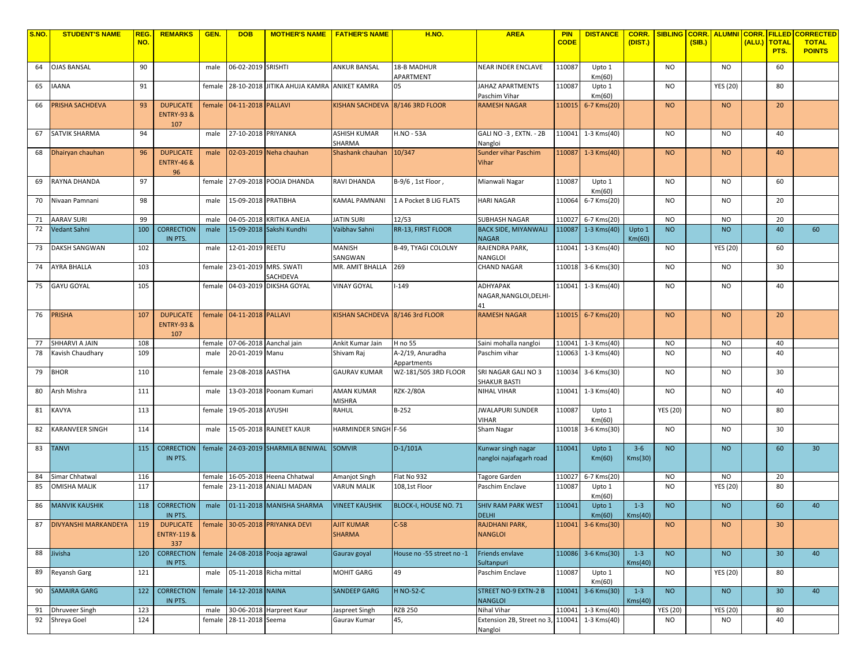| S.NO | <b>STUDENT'S NAME</b> | <b>REG</b> | <b>REMARKS</b>                                    | GEN.   | <b>DOB</b>                | <b>MOTHER'S NAME   FATHER'S NAME</b> |                                    | <b>H.NO.</b>                    | <b>AREA</b>                                              | <b>PIN</b>  | <b>DISTANCE</b>    | <b>CORR.</b>       | <b>SIBLING</b>  | <b>CORR.</b> | <b>ALUMNI CORR.</b> |      | <b>FILLED</b>        | <b>CORRECTED</b>              |
|------|-----------------------|------------|---------------------------------------------------|--------|---------------------------|--------------------------------------|------------------------------------|---------------------------------|----------------------------------------------------------|-------------|--------------------|--------------------|-----------------|--------------|---------------------|------|----------------------|-------------------------------|
|      |                       | NO.        |                                                   |        |                           |                                      |                                    |                                 |                                                          | <b>CODE</b> |                    | (DIST.)            |                 | (SIB.)       |                     | ALU. | <b>TOTAL</b><br>PTS. | <b>TOTAL</b><br><b>POINTS</b> |
| 64   | <b>OJAS BANSAL</b>    | 90         |                                                   | male   | 06-02-2019 SRISHTI        |                                      | <b>ANKUR BANSAL</b>                | 18-B MADHUR<br>APARTMENT        | <b>NEAR INDER ENCLAVE</b>                                | 110087      | Upto 1<br>Km(60)   |                    | <b>NO</b>       |              | <b>NO</b>           |      | 60                   |                               |
| 65   | <b>IAANA</b>          | 91         |                                                   | female |                           | 28-10-2018 JITIKA AHUJA KAMRA        | ANIKET KAMRA                       | 05                              | JAHAZ APARTMENTS<br>Paschim Vihar                        | 110087      | Upto 1<br>Km(60)   |                    | <b>NO</b>       |              | <b>YES (20)</b>     |      | 80                   |                               |
| 66   | PRISHA SACHDEVA       | 93         | <b>DUPLICATE</b><br><b>ENTRY-93 &amp;</b><br>107  | female | 04-11-2018 PALLAVI        |                                      | KISHAN SACHDEVA 8/146 3RD FLOOR    |                                 | <b>RAMESH NAGAR</b>                                      |             | 110015 6-7 Kms(20) |                    | <b>NO</b>       |              | <b>NO</b>           |      | 20                   |                               |
| 67   | SATVIK SHARMA         | 94         |                                                   | male   | 27-10-2018 PRIYANKA       |                                      | ASHISH KUMAR<br>SHARMA             | <b>H.NO - 53A</b>               | GALI NO -3, EXTN. - 2B<br>Nangloi                        |             | 110041 1-3 Kms(40) |                    | <b>NO</b>       |              | <b>NO</b>           |      | 40                   |                               |
| 68   | Dhairyan chauhan      | 96         | <b>DUPLICATE</b><br><b>ENTRY-46 &amp;</b><br>96   | male   |                           | 02-03-2019 Neha chauhan              | Shashank chauhan                   | 10/347                          | <b>Sunder vihar Paschim</b><br>Vihar                     |             | 110087 1-3 Kms(40) |                    | <b>NO</b>       |              | <b>NO</b>           |      | 40                   |                               |
| 69   | RAYNA DHANDA          | 97         |                                                   | female |                           | 27-09-2018 POOJA DHANDA              | RAVI DHANDA                        | B-9/6, 1st Floor,               | Mianwali Nagar                                           | 110087      | Upto 1<br>Km(60)   |                    | <b>NO</b>       |              | <b>NO</b>           |      | 60                   |                               |
| 70   | Nivaan Pamnani        | 98         |                                                   | male   | 15-09-2018 PRATIBHA       |                                      | KAMAL PAMNANI                      | 1 A Pocket B LIG FLATS          | <b>HARI NAGAR</b>                                        |             | 110064 6-7 Kms(20) |                    | <b>NO</b>       |              | <b>NO</b>           |      | 20                   |                               |
| 71   | <b>AARAV SURI</b>     | 99         |                                                   | male   |                           | 04-05-2018 KRITIKA ANEJA             | <b>JATIN SURI</b>                  | 12/53                           | <b>SUBHASH NAGAR</b>                                     | 110027      | 6-7 Kms(20)        |                    | NO.             |              | NO                  |      | 20                   |                               |
| 72   | Vedant Sahni          | 100        | <b>CORRECTION</b><br>IN PTS.                      | male   |                           | 15-09-2018 Sakshi Kundhi             | Vaibhav Sahni                      | RR-13, FIRST FLOOR              | <b>BACK SIDE, MIYANWALI</b><br><b>NAGAR</b>              |             | 110087 1-3 Kms(40) | Upto 1<br>Km(60)   | <b>NO</b>       |              | <b>NO</b>           |      | 40                   | 60                            |
| 73   | DAKSH SANGWAN         | 102        |                                                   | male   | 12-01-2019 REETU          |                                      | MANISH<br>SANGWAN                  | B-49, TYAGI COLOLNY             | RAJENDRA PARK,<br>NANGLOI                                |             | 110041 1-3 Kms(40) |                    | <b>NO</b>       |              | <b>YES (20)</b>     |      | 60                   |                               |
| 74   | AYRA BHALLA           | 103        |                                                   | female |                           | 23-01-2019 MRS. SWATI<br>SACHDEVA    | MR. AMIT BHALLA                    | 269                             | <b>CHAND NAGAR</b>                                       |             | 110018 3-6 Kms(30) |                    | NO.             |              | NO                  |      | 30                   |                               |
| 75   | <b>GAYU GOYAL</b>     | 105        |                                                   |        |                           | female 04-03-2019 DIKSHA GOYAL       | <b>VINAY GOYAL</b>                 | $1 - 149$                       | ADHYAPAK<br>NAGAR, NANGLOI, DELHI-<br>41                 |             | 110041 1-3 Kms(40) |                    | <b>NO</b>       |              | <b>NO</b>           |      | 40                   |                               |
| 76   | <b>PRISHA</b>         | 107        | <b>DUPLICATE</b><br><b>ENTRY-93 &amp;</b><br>107  |        | female 04-11-2018 PALLAVI |                                      | KISHAN SACHDEVA 8/146 3rd FLOOR    |                                 | <b>RAMESH NAGAR</b>                                      |             | 110015 6-7 Kms(20) |                    | <b>NO</b>       |              | <b>NO</b>           |      | 20                   |                               |
| 77   | SHHARVI A JAIN        | 108        |                                                   | female |                           | 07-06-2018 Aanchal jain              | Ankit Kumar Jain                   | H no 55                         | Saini mohalla nangloi                                    |             | 110041 1-3 Kms(40) |                    | <b>NO</b>       |              | <b>NO</b>           |      | 40                   |                               |
| 78   | Kavish Chaudhary      | 109        |                                                   | male   | 20-01-2019 Manu           |                                      | Shivam Raj                         | A-2/19, Anuradha<br>Appartments | Paschim vihar                                            |             | 110063 1-3 Kms(40) |                    | NO              |              | <b>NO</b>           |      | 40                   |                               |
| 79   | <b>BHOR</b>           | 110        |                                                   | female | 23-08-2018 AASTHA         |                                      | <b>GAURAV KUMAR</b>                | WZ-181/505 3RD FLOOR            | SRI NAGAR GALI NO 3<br>SHAKUR BASTI                      |             | 110034 3-6 Kms(30) |                    | NO.             |              | <b>NO</b>           |      | 30                   |                               |
| 80   | Arsh Mishra           | 111        |                                                   | male   |                           | 13-03-2018 Poonam Kumari             | AMAN KUMAR<br>MISHRA               | <b>RZK-2/80A</b>                | NIHAL VIHAR                                              |             | 110041 1-3 Kms(40) |                    | <b>NO</b>       |              | <b>NO</b>           |      | 40                   |                               |
| 81   | KAVYA                 | 113        |                                                   | female | 19-05-2018 AYUSHI         |                                      | RAHUL                              | B-252                           | <b>JWALAPURI SUNDER</b><br>VIHAR                         | 110087      | Upto 1<br>Km(60)   |                    | <b>YES (20)</b> |              | <b>NO</b>           |      | 80                   |                               |
| 82   | KARANVEER SINGH       | 114        |                                                   | male   |                           | 15-05-2018 RAJNEET KAUR              | HARMINDER SINGH F-56               |                                 | Sham Nagar                                               | 110018      | 3-6 Kms(30)        |                    | <b>NO</b>       |              | <b>NO</b>           |      | 30                   |                               |
| 83   | <b>TANVI</b>          | 115        | <b>CORRECTION</b><br>IN PTS.                      |        |                           | female 24-03-2019 SHARMILA BENIWAL   | <b>SOMVIR</b>                      | $D-1/101A$                      | Kunwar singh nagar<br>nangloi najafagarh road            | 110041      | Upto 1<br>Km(60)   | $3 - 6$<br>Kms(30) | <b>NO</b>       |              | <b>NO</b>           |      | 60                   | 30                            |
| 84   | Simar Chhatwal        | 116        |                                                   | female |                           | 16-05-2018 Heena Chhatwal            | Amanjot Singh                      | Flat No 932                     | Tagore Garden                                            | 110027      | 6-7 Kms(20)        |                    | <b>NO</b>       |              | NO                  |      | 20                   |                               |
| 85   | <b>OMISHA MALIK</b>   | 117        |                                                   | female |                           | 23-11-2018 ANJALI MADAN              | <b>VARUN MALIK</b>                 | 108,1st Floor                   | Paschim Enclave                                          | 110087      | Upto 1<br>Km(60)   |                    | NO.             |              | <b>YES (20)</b>     |      | 80                   |                               |
| 86   | <b>MANVIK KAUSHIK</b> | 118        | <b>CORRECTION</b><br>IN PTS.                      | male   |                           | 01-11-2018 MANISHA SHARMA            | <b>VINEET KAUSHIK</b>              | BLOCK-I, HOUSE NO. 71           | <b>SHIV RAM PARK WEST</b><br><b>DELHI</b>                | 110041      | Upto 1<br>Km(60)   | $1 - 3$<br>Kms(40) | <b>NO</b>       |              | <b>NO</b>           |      | 60                   | 40                            |
| 87   | DIVYANSHI MARKANDEYA  | 119        | <b>DUPLICATE</b><br><b>ENTRY-119 &amp;</b><br>337 |        |                           | female 30-05-2018 PRIYANKA DEVI      | <b>AJIT KUMAR</b><br><b>SHARMA</b> | $C-58$                          | RAJDHANI PARK,<br><b>NANGLOI</b>                         |             | 110041 3-6 Kms(30) |                    | <b>NO</b>       |              | <b>NO</b>           |      | 30                   |                               |
| 88   | Jivisha               | 120        | <b>CORRECTION</b><br>IN PTS.                      |        |                           | female 24-08-2018 Pooja agrawal      | Gaurav goyal                       | House no -55 street no -1       | Friends envlave<br>Sultanpuri                            |             | 110086 3-6 Kms(30) | $1 - 3$<br>Kms(40) | <b>NO</b>       |              | <b>NO</b>           |      | 30                   | 40                            |
| 89   | Reyansh Garg          | 121        |                                                   | male   |                           | 05-11-2018 Richa mittal              | MOHIT GARG                         | 49                              | Paschim Enclave                                          | 110087      | Upto 1<br>Km(60)   |                    | NO.             |              | <b>YES (20)</b>     |      | 80                   |                               |
| 90   | <b>SAMAIRA GARG</b>   |            | 122 CORRECTION<br>IN PTS.                         |        | female 14-12-2018 NAINA   |                                      | <b>SANDEEP GARG</b>                | <b>H NO-52-C</b>                | <b>STREET NO-9 EXTN-2 B</b><br><b>NANGLOI</b>            |             | 110041 3-6 Kms(30) | $1 - 3$<br>Kms(40) | <b>NO</b>       |              | <b>NO</b>           |      | 30                   | 40                            |
| 91   | <b>Dhruveer Singh</b> | 123        |                                                   | male   |                           | 30-06-2018 Harpreet Kaur             | Jaspreet Singh                     | <b>RZB 250</b>                  | Nihal Vihar                                              |             | 110041 1-3 Kms(40) |                    | <b>YES (20)</b> |              | <b>YES (20)</b>     |      | 80                   |                               |
| 92   | Shreya Goel           | 124        |                                                   |        | female 28-11-2018 Seema   |                                      | Gaurav Kumar                       | 45,                             | Extension 2B, Street no 3, 110041 1-3 Kms(40)<br>Nangloi |             |                    |                    | NO              |              | NO.                 |      | 40                   |                               |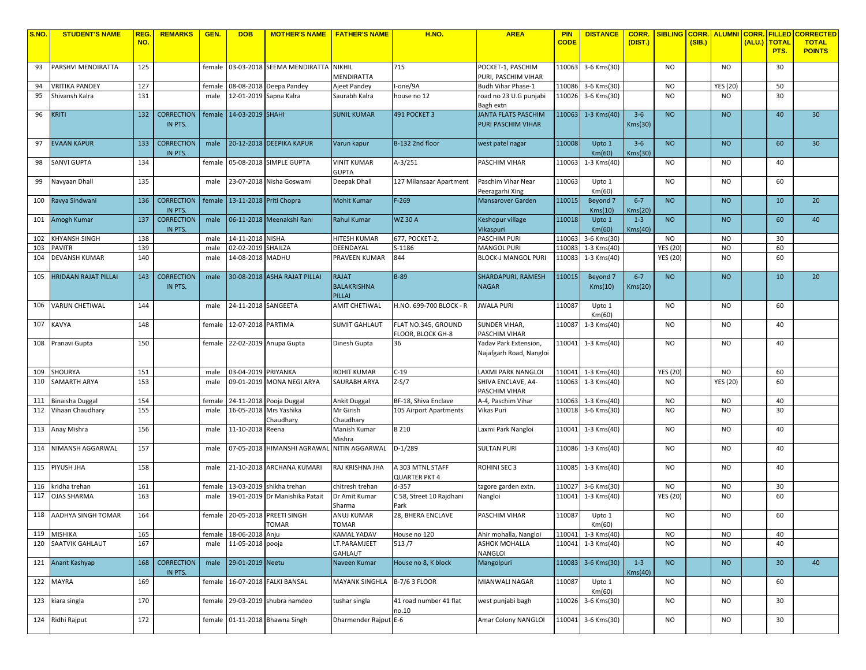| S.NO.      | <b>STUDENT'S NAME</b>       | REG. | <b>REMARKS</b>    | GEN.         | <b>DOB</b>                             | <b>MOTHER'S NAME   FATHER'S NAME</b> |                                  | <b>H.NO.</b>             | <b>AREA</b>                        | <b>PIN</b>       | <b>DISTANCE</b>            | CORR.   | SIBLING CORR. ALUMNI CORR. |        |                        |      | <b>FILLED</b>        | <b>CORRECTED</b>              |
|------------|-----------------------------|------|-------------------|--------------|----------------------------------------|--------------------------------------|----------------------------------|--------------------------|------------------------------------|------------------|----------------------------|---------|----------------------------|--------|------------------------|------|----------------------|-------------------------------|
|            |                             | NO.  |                   |              |                                        |                                      |                                  |                          |                                    | <b>CODE</b>      |                            | (DIST.) |                            | (SIB.) |                        | ALU. | <b>TOTAL</b><br>PTS. | <b>TOTAL</b><br><b>POINTS</b> |
|            |                             |      |                   |              |                                        |                                      |                                  |                          |                                    |                  |                            |         |                            |        |                        |      |                      |                               |
| 93         | PARSHVI MENDIRATTA          | 125  |                   | female       |                                        | 03-03-2018 SEEMA MENDIRATTA          | <b>NIKHIL</b>                    | 715                      | POCKET-1, PASCHIM                  |                  | 110063 3-6 Kms(30)         |         | <b>NO</b>                  |        | <b>NO</b>              |      | 30                   |                               |
|            |                             |      |                   |              |                                        |                                      | MENDIRATTA                       |                          | PURI, PASCHIM VIHAR                |                  |                            |         |                            |        |                        |      |                      |                               |
| 94         | VRITIKA PANDEY              | 127  |                   | female       |                                        | 08-08-2018 Deepa Pandey              | Ajeet Pandey                     | -one/9A                  | Budh Vihar Phase-1                 |                  | 110086 3-6 Kms(30)         |         | <b>NO</b>                  |        | <b>YES (20)</b>        |      | 50                   |                               |
| 95         | Shivansh Kalra              | 131  |                   | male         |                                        | 12-01-2019 Sapna Kalra               | Saurabh Kalra                    | ouse no 12               | road no 23 U.G punjabi             |                  | 110026 3-6 Kms(30)         |         | <b>NO</b>                  |        | N <sub>O</sub>         |      | 30                   |                               |
|            |                             |      |                   |              |                                        |                                      |                                  |                          | Bagh extn                          |                  |                            |         |                            |        |                        |      |                      |                               |
| 96         | KRITI                       | 132  | <b>CORRECTION</b> | female       | 14-03-2019 SHAHI                       |                                      | <b>SUNIL KUMAR</b>               | 491 POCKET 3             | <b>JANTA FLATS PASCHIM</b>         |                  | 110063 1-3 Kms(40)         | $3 - 6$ | <b>NO</b>                  |        | <b>NO</b>              |      | 40                   | 30                            |
|            |                             |      | IN PTS.           |              |                                        |                                      |                                  |                          | PURI PASCHIM VIHAR                 |                  |                            | Kms(30) |                            |        |                        |      |                      |                               |
|            |                             |      |                   |              |                                        |                                      |                                  |                          |                                    |                  |                            |         |                            |        |                        |      |                      |                               |
| 97         | <b>EVAAN KAPUR</b>          | 133  | <b>CORRECTION</b> | male         |                                        | 20-12-2018 DEEPIKA KAPUR             | Varun kapur                      | B-132 2nd floor          | west patel nagar                   | 110008           | Upto 1                     | $3 - 6$ | <b>NO</b>                  |        | <b>NO</b>              |      | 60                   | 30                            |
|            |                             |      | IN PTS.           |              |                                        |                                      |                                  |                          |                                    |                  | Km(60)                     | Kms(30) |                            |        |                        |      |                      |                               |
| 98         | SANVI GUPTA                 | 134  |                   | female       |                                        | 05-08-2018 SIMPLE GUPTA              | VINIT KUMAR                      | A-3/251                  | PASCHIM VIHAR                      | 110063           | 1-3 Kms(40)                |         | <b>NO</b>                  |        | NO                     |      | 40                   |                               |
|            |                             |      |                   |              |                                        |                                      | GUPTA                            |                          |                                    |                  |                            |         |                            |        |                        |      |                      |                               |
| 99         | Navyaan Dhall               | 135  |                   | male         |                                        | 23-07-2018 Nisha Goswami             | Deepak Dhall                     | 127 Milansaar Apartment  | Paschim Vihar Near                 | 110063           | Upto 1                     |         | NO.                        |        | <b>NO</b>              |      | 60                   |                               |
|            |                             |      |                   |              |                                        |                                      |                                  |                          | Peeragarhi Xing                    |                  | Km(60)                     |         |                            |        |                        |      |                      |                               |
|            | 100 Ravya Sindwani          | 136  | <b>CORRECTION</b> | female       |                                        | 13-11-2018 Priti Chopra              | Mohit Kumar                      | $F-269$                  | Mansarover Garden                  | 110015           | Beyond 7                   | $6 - 7$ | <b>NO</b>                  |        | <b>NO</b>              |      | 10                   | 20                            |
|            |                             |      | IN PTS.           |              |                                        |                                      |                                  |                          |                                    |                  | Kms(10)                    | Kms(20) |                            |        |                        |      |                      |                               |
|            | 101 Amogh Kumar             | 137  | <b>CORRECTION</b> | male         |                                        | 06-11-2018 Meenakshi Rani            | Rahul Kumar                      | <b>WZ 30 A</b>           | Keshopur village                   | 110018           | Upto 1                     | $1 - 3$ | <b>NO</b>                  |        | <b>NO</b>              |      | 60                   | 40                            |
|            |                             | 138  | IN PTS.           |              |                                        |                                      |                                  |                          | Vikaspuri                          |                  | Km(60)                     | Kms(40) | <b>NO</b>                  |        |                        |      |                      |                               |
| 102<br>103 | KHYANSH SINGH<br>PAVITR     | 139  |                   | male<br>male | 14-11-2018 NISHA<br>02-02-2019 SHAILZA |                                      | <b>HITESH KUMAR</b><br>DEENDAYAL | 677, POCKET-2,<br>S-1186 | PASCHIM PURI<br><b>MANGOL PURI</b> | 110063<br>110083 | 3-6 Kms(30)<br>1-3 Kms(40) |         | <b>YES (20)</b>            |        | <b>NO</b><br><b>NO</b> |      | 30<br>60             |                               |
| 104        | DEVANSH KUMAR               | 140  |                   | male         | 14-08-2018 MADHU                       |                                      | PRAVEEN KUMAR                    | 844                      | BLOCK-J MANGOL PURI                | 110083           | 1-3 Kms(40)                |         | <b>YES (20)</b>            |        | <b>NO</b>              |      | 60                   |                               |
|            |                             |      |                   |              |                                        |                                      |                                  |                          |                                    |                  |                            |         |                            |        |                        |      |                      |                               |
| 105        | <b>HRIDAAN RAJAT PILLAI</b> | 143  | <b>CORRECTION</b> | male         |                                        | 30-08-2018 ASHA RAJAT PILLAI         | RAJAT                            | $B-89$                   | SHARDAPURI, RAMESH                 | 110015           | Beyond 7                   | $6 - 7$ | <b>NO</b>                  |        | <b>NO</b>              |      | 10                   | 20                            |
|            |                             |      | IN PTS.           |              |                                        |                                      | <b>BALAKRISHNA</b>               |                          | <b>NAGAR</b>                       |                  | Kms(10)                    | Kms(20) |                            |        |                        |      |                      |                               |
|            |                             |      |                   |              |                                        |                                      | PILLAI                           |                          |                                    |                  |                            |         |                            |        |                        |      |                      |                               |
| 106        | <b>VARUN CHETIWAL</b>       | 144  |                   | male         | 24-11-2018 SANGEETA                    |                                      | <b>AMIT CHETIWAL</b>             | H.NO. 699-700 BLOCK - R  | <b>JWALA PURI</b>                  | 110087           | Upto 1                     |         | <b>NO</b>                  |        | NO                     |      | 60                   |                               |
|            |                             |      |                   |              |                                        |                                      |                                  |                          |                                    |                  | Km(60)                     |         |                            |        |                        |      |                      |                               |
| 107        | <b>KAVYA</b>                | 148  |                   | female       | 12-07-2018 PARTIMA                     |                                      | <b>SUMIT GAHLAUT</b>             | FLAT NO.345, GROUND      | SUNDER VIHAR,                      |                  | 110087 1-3 Kms(40)         |         | <b>NO</b>                  |        | NO                     |      | 40                   |                               |
|            |                             |      |                   |              |                                        |                                      |                                  | FLOOR, BLOCK GH-8        | PASCHIM VIHAR                      |                  |                            |         |                            |        |                        |      |                      |                               |
| 108        | Pranavi Gupta               | 150  |                   | female       |                                        | 22-02-2019 Anupa Gupta               | Dinesh Gupta                     | 36                       | Yadav Park Extension,              |                  | 110041 1-3 Kms(40)         |         | <b>NO</b>                  |        | NO                     |      | 40                   |                               |
|            |                             |      |                   |              |                                        |                                      |                                  |                          | Najafgarh Road, Nangloi            |                  |                            |         |                            |        |                        |      |                      |                               |
|            |                             |      |                   |              |                                        |                                      |                                  |                          |                                    |                  |                            |         |                            |        |                        |      |                      |                               |
| 109        | SHOURYA                     | 151  |                   | male         | 03-04-2019 PRIYANKA                    |                                      | <b>ROHIT KUMAR</b>               | $C-19$                   | LAXMI PARK NANGLOI                 |                  | 110041 1-3 Kms(40)         |         | <b>YES (20)</b>            |        | <b>NO</b>              |      | 60                   |                               |
| 110        | SAMARTH ARYA                | 153  |                   | male         |                                        | 09-01-2019 MONA NEGI ARYA            | SAURABH ARYA                     | $Z-S/7$                  | SHIVA ENCLAVE, A4-                 |                  | 110063 1-3 Kms(40)         |         | <b>NO</b>                  |        | <b>YES (20)</b>        |      | 60                   |                               |
|            |                             |      |                   |              |                                        |                                      |                                  |                          | PASCHIM VIHAR                      |                  |                            |         |                            |        |                        |      |                      |                               |
| 111        | Binaisha Duggal             | 154  |                   | female       |                                        | 24-11-2018 Pooja Duggal              | <b>Ankit Duggal</b>              | BF-18, Shiva Enclave     | A-4, Paschim Vihar                 | 110063           | 1-3 Kms(40)                |         | <b>NO</b>                  |        | <b>NO</b>              |      | 40                   |                               |
|            | 112 Vihaan Chaudhary        | 155  |                   | male         |                                        | 16-05-2018 Mrs Yashika               | Mr Girish                        | 105 Airport Apartments   | Vikas Puri                         |                  | 110018 3-6 Kms(30)         |         | <b>NO</b>                  |        | <b>NO</b>              |      | 30                   |                               |
|            |                             |      |                   |              |                                        | Chaudhary                            | Chaudhary                        |                          |                                    |                  |                            |         |                            |        |                        |      |                      |                               |
|            | 113 Anay Mishra             | 156  |                   | male         | 11-10-2018 Reena                       |                                      | Manish Kumar                     | B 210                    | Laxmi Park Nangloi                 |                  | 110041 1-3 Kms(40)         |         | <b>NO</b>                  |        | <b>NO</b>              |      | 40                   |                               |
| 114        | NIMANSH AGGARWAL            | 157  |                   | male         |                                        | 07-05-2018 HIMANSHI AGRAWAL          | Mishra<br><b>NITIN AGGARWAL</b>  | $D-1/289$                | <b>SULTAN PURI</b>                 |                  | 110086 1-3 Kms(40)         |         | <b>NO</b>                  |        | NO                     |      | 40                   |                               |
|            |                             |      |                   |              |                                        |                                      |                                  |                          |                                    |                  |                            |         |                            |        |                        |      |                      |                               |
| 115        | PIYUSH JHA                  | 158  |                   | male         |                                        | 21-10-2018 ARCHANA KUMARI            | RAJ KRISHNA JHA                  | A 303 MTNL STAFF         | ROHINI SEC 3                       |                  | 110085 1-3 Kms(40)         |         | <b>NO</b>                  |        | <b>NO</b>              |      | 40                   |                               |
|            |                             |      |                   |              |                                        |                                      |                                  | <b>QUARTER PKT 4</b>     |                                    |                  |                            |         |                            |        |                        |      |                      |                               |
| 116        | kridha trehan               | 161  |                   | female       |                                        | 13-03-2019 shikha trehan             | chitresh trehan                  | d-357                    | tagore garden extn.                |                  | 110027 3-6 Kms(30)         |         | <b>NO</b>                  |        | <b>NO</b>              |      | 30                   |                               |
| 117        | <b>OJAS SHARMA</b>          | 163  |                   | male         |                                        | 19-01-2019 Dr Manishika Patait       | Dr Amit Kumar                    | C 58, Street 10 Rajdhani | Nangloi                            |                  | 110041 1-3 Kms(40)         |         | YES (20)                   |        | <b>NO</b>              |      | 60                   |                               |
|            |                             |      |                   |              |                                        |                                      | Sharma                           | Park                     |                                    |                  |                            |         |                            |        |                        |      |                      |                               |
| 118        | AADHYA SINGH TOMAR          | 164  |                   | female       |                                        | 20-05-2018 PREETI SINGH              | ANUJ KUMAR                       | 28, BHERA ENCLAVE        | PASCHIM VIHAR                      | 110087           | Upto 1                     |         | NO.                        |        | <b>NO</b>              |      | 60                   |                               |
|            |                             |      |                   |              |                                        | <b>TOMAR</b>                         | <b>TOMAR</b>                     |                          |                                    |                  | Km(60)                     |         |                            |        |                        |      |                      |                               |
| 119        | <b>MISHIKA</b>              | 165  |                   | female       | 18-06-2018 Anju                        |                                      | <b>KAMAL YADAV</b>               | House no 120             | Ahir mohalla, Nangloi              | 110041           | $1-3$ Kms $(40)$           |         | <b>NO</b>                  |        | <b>NO</b>              |      | 40                   |                               |
| 120        | SAATVIK GAHLAUT             | 167  |                   | male         | 11-05-2018 pooja                       |                                      | LT.PARAMJEET                     | 513/7                    | <b>ASHOK MOHALLA</b>               | 110041           | 1-3 Kms(40)                |         | <b>NO</b>                  |        | <b>NO</b>              |      | 40                   |                               |
|            |                             |      |                   |              |                                        |                                      | GAHLAUT                          |                          | NANGLOI                            |                  |                            |         |                            |        |                        |      |                      |                               |
|            | 121 Anant Kashyap           | 168  | <b>CORRECTION</b> | male         | 29-01-2019 Neetu                       |                                      | Naveen Kumar                     | House no 8, K block      | Mangolpuri                         |                  | 110083 3-6 Kms(30)         | $1 - 3$ | <b>NO</b>                  |        | <b>NO</b>              |      | 30 <sup>°</sup>      | 40                            |
|            |                             |      | IN PTS.           |              |                                        |                                      |                                  |                          |                                    |                  |                            | Kms(40) |                            |        |                        |      |                      |                               |
|            | 122 MAYRA                   | 169  |                   | female       |                                        | 16-07-2018 FALKI BANSAL              | <b>MAYANK SINGHLA</b>            | <b>B-7/6 3 FLOOR</b>     | MIANWALI NAGAR                     | 110087           | Upto 1                     |         | <b>NO</b>                  |        | <b>NO</b>              |      | 60                   |                               |
|            |                             |      |                   |              |                                        |                                      |                                  |                          |                                    |                  | Km(60)                     |         |                            |        |                        |      |                      |                               |
|            | 123 kiara singla            | 170  |                   | female       |                                        | 29-03-2019 shubra namdeo             | tushar singla                    | 41 road number 41 flat   | west punjabi bagh                  |                  | 110026 3-6 Kms(30)         |         | <b>NO</b>                  |        | <b>NO</b>              |      | 30                   |                               |
|            | 124 Ridhi Rajput            | 172  |                   |              |                                        | 01-11-2018 Bhawna Singh              |                                  | no.10                    |                                    |                  | 110041 3-6 Kms(30)         |         |                            |        |                        |      |                      |                               |
|            |                             |      |                   | female       |                                        |                                      | Dharmender Rajput E-6            |                          | Amar Colony NANGLOI                |                  |                            |         | NO                         |        | <b>NO</b>              |      | 30                   |                               |
|            |                             |      |                   |              |                                        |                                      |                                  |                          |                                    |                  |                            |         |                            |        |                        |      |                      |                               |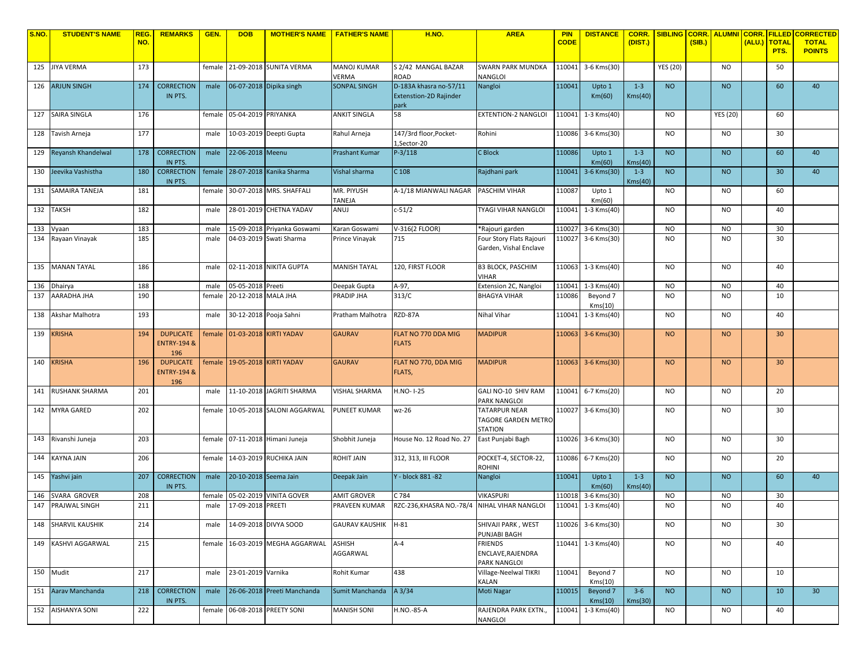| S.NO. | <b>STUDENT'S NAME</b> | <b>REG</b> | <b>REMARKS</b>               | GEN.   | <b>DOB</b>            | <b>MOTHER'S NAME</b>        | <b>FATHER'S NAME</b>  | <b>H.NO.</b>                          | <b>AREA</b>                                  | <b>PIN</b>  | <b>DISTANCE</b>       | CORR.              | <b>SIBLING</b>  | <b>CORR.</b> | <b>ALUMNI CORR.</b> |        | <b>FILLED</b>        | <b>CORRECTED</b>              |
|-------|-----------------------|------------|------------------------------|--------|-----------------------|-----------------------------|-----------------------|---------------------------------------|----------------------------------------------|-------------|-----------------------|--------------------|-----------------|--------------|---------------------|--------|----------------------|-------------------------------|
|       |                       | NO.        |                              |        |                       |                             |                       |                                       |                                              | <b>CODE</b> |                       | (DIST.)            |                 | (SIB.)       |                     | (ALU.) | <b>TOTAL</b><br>PTS. | <b>TOTAL</b><br><b>POINTS</b> |
|       | 125 JIYA VERMA        | 173        |                              | female |                       | 21-09-2018 SUNITA VERMA     | <b>MANOJ KUMAR</b>    | S 2/42 MANGAL BAZAR                   | <b>SWARN PARK MUNDKA</b>                     | 110041      | 3-6 Kms(30)           |                    | <b>YES (20)</b> |              | <b>NO</b>           |        | 50                   |                               |
|       |                       |            |                              |        |                       |                             | VERMA                 | ROAD                                  | <b>NANGLOI</b>                               |             |                       |                    |                 |              |                     |        |                      |                               |
| 126   | <b>ARJUN SINGH</b>    | 174        | <b>CORRECTION</b>            | male   |                       | 06-07-2018 Dipika singh     | <b>SONPAL SINGH</b>   | D-183A khasra no-57/11                | Nangloi                                      | 110041      | Upto 1                | $1 - 3$            | <b>NO</b>       |              | <b>NO</b>           |        | 60                   | 40                            |
|       |                       |            | IN PTS.                      |        |                       |                             |                       | <b>Extenstion-2D Rajinder</b><br>park |                                              |             | Km(60)                | Kms(40)            |                 |              |                     |        |                      |                               |
|       | 127 SAIRA SINGLA      | 176        |                              | female | 05-04-2019 PRIYANKA   |                             | <b>ANKIT SINGLA</b>   | 58                                    | <b>EXTENTION-2 NANGLOI</b>                   |             | 110041 1-3 Kms(40)    |                    | NO.             |              | <b>YES (20)</b>     |        | 60                   |                               |
|       |                       |            |                              |        |                       |                             |                       |                                       |                                              |             |                       |                    |                 |              |                     |        |                      |                               |
| 128   | Tavish Arneja         | 177        |                              | male   |                       | 10-03-2019 Deepti Gupta     | Rahul Arneja          | 147/3rd floor, Pocket-<br>1,Sector-20 | Rohini                                       |             | 110086 3-6 Kms(30)    |                    | <b>NO</b>       |              | <b>NO</b>           |        | 30                   |                               |
| 129   | Reyansh Khandelwal    | 178        | <b>CORRECTION</b>            | male   | 22-06-2018 Meenu      |                             | <b>Prashant Kumar</b> | $P-3/118$                             | C Block                                      | 110086      | Upto 1                | $1 - 3$            | <b>NO</b>       |              | <b>NO</b>           |        | 60                   | 40                            |
|       |                       |            | IN PTS.                      |        |                       |                             |                       |                                       |                                              |             | Km(60)                | Kms(40)            |                 |              |                     |        |                      |                               |
| 130   | eevika Vashistha      | 180        | <b>CORRECTION</b><br>IN PTS. | female |                       | 28-07-2018 Kanika Sharma    | Vishal sharma         | C 108                                 | Rajdhani park                                | 110041      | 3-6 Kms(30)           | $1 - 3$<br>Kms(40) | <b>NO</b>       |              | <b>NO</b>           |        | 30 <sup>°</sup>      | 40                            |
| 131   | SAMAIRA TANEJA        | 181        |                              | female |                       | 30-07-2018 MRS. SHAFFALI    | MR. PIYUSH            | A-1/18 MIANWALI NAGAR                 | PASCHIM VIHAR                                | 110087      | Upto 1                |                    | <b>NO</b>       |              | <b>NO</b>           |        | 60                   |                               |
|       |                       |            |                              |        |                       |                             | TANEJA                |                                       |                                              |             | Km(60)                |                    |                 |              |                     |        |                      |                               |
| 132   | <b>TAKSH</b>          | 182        |                              | male   |                       | 28-01-2019 CHETNA YADAV     | ANUJ                  | $c - 51/2$                            | TYAGI VIHAR NANGLOI                          | 110041      | 1-3 Kms(40)           |                    | <b>NO</b>       |              | <b>NO</b>           |        | 40                   |                               |
| 133   | Vyaan                 | 183        |                              | male   |                       | 15-09-2018 Priyanka Goswami | Karan Goswami         | V-316(2 FLOOR)                        | *Rajouri garden                              | 110027      | 3-6 Kms(30)           |                    | <b>NO</b>       |              | <b>NO</b>           |        | 30                   |                               |
| 134   | Rayaan Vinayak        | 185        |                              | male   |                       | 04-03-2019 Swati Sharma     | Prince Vinayak        | 715                                   | Four Story Flats Rajouri                     |             | 110027 3-6 Kms(30)    |                    | <b>NO</b>       |              | <b>NO</b>           |        | 30                   |                               |
|       |                       |            |                              |        |                       |                             |                       |                                       | Garden, Vishal Enclave                       |             |                       |                    |                 |              |                     |        |                      |                               |
| 135   | <b>MANAN TAYAL</b>    | 186        |                              | male   |                       | 02-11-2018 NIKITA GUPTA     | <b>MANISH TAYAL</b>   | 120, FIRST FLOOR                      | <b>B3 BLOCK, PASCHIM</b>                     | 110063      | 1-3 Kms(40)           |                    | <b>NO</b>       |              | <b>NO</b>           |        | 40                   |                               |
| 136   | Dhairya               | 188        |                              | male   | 05-05-2018 Preeti     |                             | Deepak Gupta          | A-97,                                 | <b>VIHAR</b><br>Extension 2C, Nangloi        | 110041      | 1-3 Kms(40)           |                    | <b>NO</b>       |              | <b>NO</b>           |        | 40                   |                               |
| 137   | AARADHA JHA           | 190        |                              | female | 20-12-2018 MALA JHA   |                             | <b>PRADIP JHA</b>     | 313/C                                 | <b>BHAGYA VIHAR</b>                          | 110086      | Beyond 7              |                    | <b>NO</b>       |              | <b>NO</b>           |        | 10                   |                               |
|       |                       |            |                              |        |                       |                             |                       |                                       |                                              |             | Kms(10)               |                    |                 |              |                     |        |                      |                               |
| 138   | Akshar Malhotra       | 193        |                              | male   |                       | 30-12-2018 Pooja Sahni      | Pratham Malhotra      | RZD-87A                               | Nihal Vihar                                  | 110041      | 1-3 Kms(40)           |                    | <b>NO</b>       |              | <b>NO</b>           |        | 40                   |                               |
| 139   | <b>KRISHA</b>         | 194        | <b>DUPLICATE</b>             | female |                       | 01-03-2018 KIRTI YADAV      | <b>GAURAV</b>         | FLAT NO 770 DDA MIG                   | <b>MADIPUR</b>                               |             | 110063 3-6 Kms(30)    |                    | <b>NO</b>       |              | <b>NO</b>           |        | 30                   |                               |
|       |                       |            | <b>ENTRY-194 &amp;</b>       |        |                       |                             |                       | <b>FLATS</b>                          |                                              |             |                       |                    |                 |              |                     |        |                      |                               |
| 140   | <b>KRISHA</b>         | 196        | 196<br><b>DUPLICATE</b>      | female |                       | 19-05-2018 KIRTI YADAV      | <b>GAURAV</b>         | FLAT NO 770, DDA MIG                  | <b>MADIPUR</b>                               |             | 110063 3-6 Kms(30)    |                    | <b>NO</b>       |              | <b>NO</b>           |        | 30                   |                               |
|       |                       |            | <b>ENTRY-194 &amp;</b>       |        |                       |                             |                       | FLATS,                                |                                              |             |                       |                    |                 |              |                     |        |                      |                               |
|       |                       |            | 196                          |        |                       |                             |                       |                                       |                                              |             |                       |                    |                 |              |                     |        |                      |                               |
| 141   | <b>RUSHANK SHARMA</b> | 201        |                              | male   |                       | 11-10-2018 JAGRITI SHARMA   | <b>VISHAL SHARMA</b>  | H.NO-1-25                             | GALI NO-10 SHIV RAM<br><b>PARK NANGLOI</b>   | 110041      | 6-7 Kms(20)           |                    | <b>NO</b>       |              | <b>NO</b>           |        | 20                   |                               |
| 142   | <b>MYRA GARED</b>     | 202        |                              | female |                       | 10-05-2018 SALONI AGGARWAL  | <b>PUNEET KUMAR</b>   | wz-26                                 | <b>TATARPUR NEAR</b>                         |             | 110027 3-6 Kms(30)    |                    | <b>NO</b>       |              | <b>NO</b>           |        | 30                   |                               |
|       |                       |            |                              |        |                       |                             |                       |                                       | <b>TAGORE GARDEN METRO</b><br><b>STATION</b> |             |                       |                    |                 |              |                     |        |                      |                               |
| 143   | Rivanshi Juneja       | 203        |                              | female |                       | 07-11-2018 Himani Juneja    | Shobhit Juneja        | House No. 12 Road No. 27              | East Punjabi Bagh                            |             | 110026 3-6 Kms(30)    |                    | <b>NO</b>       |              | <b>NO</b>           |        | 30                   |                               |
|       |                       |            |                              |        |                       |                             |                       |                                       |                                              |             |                       |                    |                 |              |                     |        |                      |                               |
| 144   | <b>KAYNA JAIN</b>     | 206        |                              | female |                       | 14-03-2019 RUCHIKA JAIN     | ROHIT JAIN            | 312, 313, III FLOOR                   | POCKET-4, SECTOR-22,<br>ROHINI               |             | 110086 6-7 Kms(20)    |                    | <b>NO</b>       |              | <b>NO</b>           |        | 20                   |                               |
| 145   | Yashvi jain           | 207        | <b>CORRECTION</b>            | male   | 20-10-2018 Seema Jain |                             | Deepak Jain           | Y - block 881 -82                     | Nangloi                                      | 110041      | Upto 1                | $1 - 3$            | <b>NO</b>       |              | <b>NO</b>           |        | 60                   | 40                            |
| 146   | SVARA GROVER          | 208        | IN PTS.                      | female |                       | 05-02-2019 VINITA GOVER     | <b>AMIT GROVER</b>    | C 784                                 | VIKASPURI                                    | 110018      | Km(60)<br>3-6 Kms(30) | Kms(40)            | <b>NO</b>       |              | <b>NO</b>           |        | 30                   |                               |
| 147   | PRAJWAL SINGH         | 211        |                              | male   | 17-09-2018 PREETI     |                             | PRAVEEN KUMAR         | RZC-236.KHASRA NO.-78/4               | NIHAL VIHAR NANGLOI                          | 110041      | 1-3 Kms(40)           |                    | <b>NO</b>       |              | <b>NO</b>           |        | 40                   |                               |
|       |                       |            |                              |        |                       |                             |                       |                                       |                                              |             |                       |                    |                 |              |                     |        |                      |                               |
|       | 148 SHARVIL KAUSHIK   | 214        |                              | male   |                       | 14-09-2018 DIVYA SOOD       | GAURAV KAUSHIK H-81   |                                       | SHIVAJI PARK, WEST<br>PUNJABI BAGH           |             | 110026 3-6 Kms(30)    |                    | <b>NO</b>       |              | <b>NO</b>           |        | 30                   |                               |
|       | 149 KASHVI AGGARWAL   | 215        |                              | female |                       | 16-03-2019 MEGHA AGGARWAL   | <b>ASHISH</b>         | A-4                                   | <b>FRIENDS</b>                               |             | 110441 1-3 Kms(40)    |                    | <b>NO</b>       |              | <b>NO</b>           |        | 40                   |                               |
|       |                       |            |                              |        |                       |                             | AGGARWAL              |                                       | ENCLAVE, RAJENDRA                            |             |                       |                    |                 |              |                     |        |                      |                               |
|       | 150 Mudit             | 217        |                              | male   | 23-01-2019 Varnika    |                             | Rohit Kumar           | 438                                   | PARK NANGLOI<br>Village-Neelwal TIKRI        | 110041      | Beyond 7              |                    | <b>NO</b>       |              | <b>NO</b>           |        | 10                   |                               |
|       |                       |            |                              |        |                       |                             |                       |                                       | KALAN                                        |             | Kms(10)               |                    |                 |              |                     |        |                      |                               |
| 151   | Aarav Manchanda       | 218        | <b>CORRECTION</b><br>IN PTS. | male   |                       | 26-06-2018 Preeti Manchanda | Sumit Manchanda       | A 3/34                                | Moti Nagar                                   | 110015      | Beyond 7<br>Kms(10)   | $3 - 6$<br>Kms(30) | <b>NO</b>       |              | <b>NO</b>           |        | 10                   | 30                            |
|       | 152 AISHANYA SONI     | 222        |                              | female |                       | 06-08-2018 PREETY SONI      | <b>MANISH SONI</b>    | H.NO.-85-A                            | RAJENDRA PARK EXTN.,                         | 110041      | 1-3 Kms(40)           |                    | <b>NO</b>       |              | <b>NO</b>           |        | 40                   |                               |
|       |                       |            |                              |        |                       |                             |                       |                                       | NANGLOI                                      |             |                       |                    |                 |              |                     |        |                      |                               |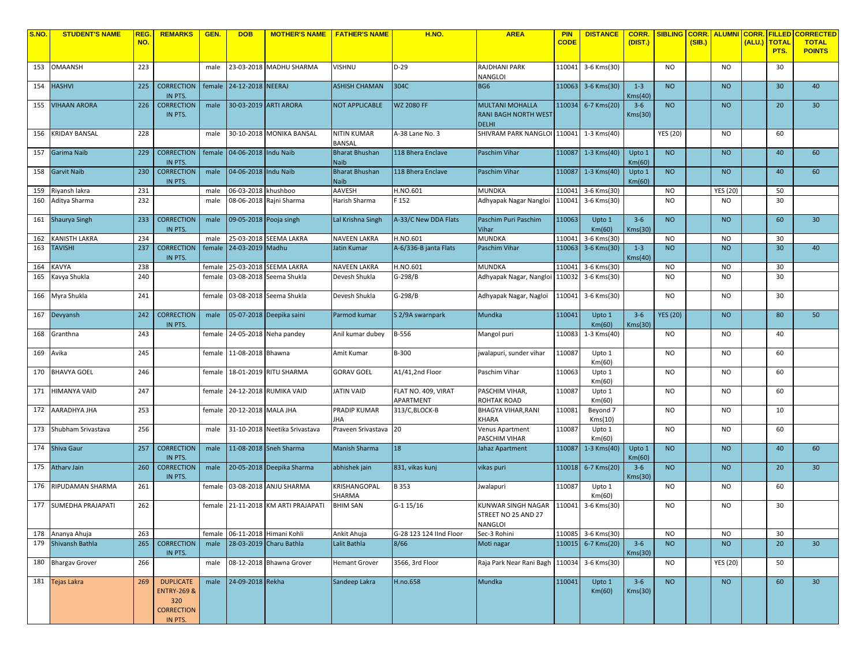| <b>S.NO.</b> | <b>STUDENT'S NAME</b>  | <b>REG</b> | <b>REMARKS</b>                                                                    | GEN.   | <b>DOB</b>           | <b>MOTHER'S NAME</b>          | <b>FATHER'S NAME</b>                 | <b>H.NO.</b>                     | <b>AREA</b>                                                           | <b>PIN</b><br><b>CODE</b> | <b>DISTANCE</b>     | <b>CORR.</b>       | <b>SIBLING</b>  | <b>CORR.</b> | <b>ALUMNI CORR.</b> |        | <b>FILLED</b>        | <b>CORRECTED</b>              |
|--------------|------------------------|------------|-----------------------------------------------------------------------------------|--------|----------------------|-------------------------------|--------------------------------------|----------------------------------|-----------------------------------------------------------------------|---------------------------|---------------------|--------------------|-----------------|--------------|---------------------|--------|----------------------|-------------------------------|
|              |                        | NO.        |                                                                                   |        |                      |                               |                                      |                                  |                                                                       |                           |                     | (DIST.)            |                 | (SIB.)       |                     | (ALU.) | <b>TOTAL</b><br>PTS. | <b>TOTAL</b><br><b>POINTS</b> |
|              | 153 OMAANSH            | 223        |                                                                                   | male   |                      | 23-03-2018 MADHU SHARMA       | <b>VISHNU</b>                        | $D-29$                           | RAJDHANI PARK<br>NANGLOI                                              |                           | 110041 3-6 Kms(30)  |                    | <b>NO</b>       |              | <b>NO</b>           |        | 30                   |                               |
|              | 154 HASHVI             | 225        | <b>CORRECTION</b><br>IN PTS.                                                      | female | 24-12-2018 NEERAJ    |                               | <b>ASHISH CHAMAN</b>                 | 304C                             | BG6                                                                   |                           | 110063 3-6 Kms(30)  | $1 - 3$<br>Kms(40) | <b>NO</b>       |              | <b>NO</b>           |        | 30                   | 40                            |
| 155          | <b>VIHAAN ARORA</b>    | 226        | <b>CORRECTION</b><br>IN PTS.                                                      | male   |                      | 30-03-2019 ARTI ARORA         | <b>NOT APPLICABLE</b>                | <b>WZ 2080 FF</b>                | <b>MULTANI MOHALLA</b><br><b>RANI BAGH NORTH WEST</b><br><b>DELHI</b> |                           | 110034 6-7 Kms(20)  | $3 - 6$<br>Kms(30) | <b>NO</b>       |              | <b>NO</b>           |        | 20                   | 30 <sup>°</sup>               |
|              | 156 KRIDAY BANSAL      | 228        |                                                                                   | male   |                      | 30-10-2018 MONIKA BANSAL      | <b>NITIN KUMAR</b><br><b>BANSAL</b>  | A-38 Lane No. 3                  | SHIVRAM PARK NANGLOI 110041 1-3 Kms(40)                               |                           |                     |                    | <b>YES (20)</b> |              | NO.                 |        | 60                   |                               |
|              | 157 Garima Naib        | 229        | <b>CORRECTION</b><br>IN PTS.                                                      | female | 04-06-2018 Indu Naib |                               | <b>Bharat Bhushan</b><br><b>Naib</b> | 118 Bhera Enclave                | Paschim Vihar                                                         |                           | 110087 1-3 Kms(40)  | Upto 1<br>Km(60)   | <b>NO</b>       |              | <b>NO</b>           |        | 40                   | 60                            |
| 158          | Garvit Naib            | 230        | <b>CORRECTION</b><br>IN PTS.                                                      | male   | 04-06-2018 Indu Naib |                               | <b>Bharat Bhushan</b><br><b>Naib</b> | 118 Bhera Enclave                | Paschim Vihar                                                         | 110087                    | $1-3$ Kms $(40)$    | Upto 1<br>Km(60)   | <b>NO</b>       |              | <b>NO</b>           |        | 40                   | 60                            |
| 159          | Riyansh lakra          | 231        |                                                                                   | male   | 06-03-2018 khushboo  |                               | <b>AAVESH</b>                        | H.NO.601                         | <b>MUNDKA</b>                                                         | 110041                    | 3-6 Kms(30)         |                    | <b>NO</b>       |              | <b>YES (20)</b>     |        | 50                   |                               |
| 160          | Aditya Sharma          | 232        |                                                                                   | male   |                      | 08-06-2018 Rajni Sharma       | Harish Sharma                        | F 152                            | Adhyapak Nagar Nangloi                                                |                           | 110041 3-6 Kms(30)  |                    | <b>NO</b>       |              | <b>NO</b>           |        | 30                   |                               |
|              | 161 Shaurya Singh      | 233        | <b>CORRECTION</b><br>IN PTS.                                                      | male   |                      | 09-05-2018 Pooja singh        | Lal Krishna Singh                    | A-33/C New DDA Flats             | Paschim Puri Paschim<br>Vihar                                         | 110063                    | Upto 1<br>Km(60)    | $3 - 6$<br>Kms(30) | <b>NO</b>       |              | <b>NO</b>           |        | 60                   | 30 <sup>°</sup>               |
| 162          | KANISTH LAKRA          | 234        |                                                                                   | male   |                      | 25-03-2018 SEEMA LAKRA        | <b>NAVEEN LAKRA</b>                  | H.NO.601                         | <b>MUNDKA</b>                                                         | 110041                    | 3-6 Kms(30)         |                    | <b>NO</b>       |              | NO.                 |        | 30                   |                               |
| 163          | <b>TAVISHI</b>         | 237        | <b>CORRECTION</b><br>IN PTS.                                                      | female | 24-03-2019 Madhu     |                               | <b>Jatin Kumar</b>                   | A-6/336-B janta Flats            | Paschim Vihar                                                         | 110063                    | 3-6 Kms(30)         | $1 - 3$<br>Kms(40) | <b>NO</b>       |              | <b>NO</b>           |        | 30                   | 40                            |
| 164          | KAVYA                  | 238        |                                                                                   | female |                      | 25-03-2018 SEEMA LAKRA        | <b>NAVEEN LAKRA</b>                  | H.NO.601                         | MUNDKA                                                                | 110041                    | 3-6 Kms(30)         |                    | NO.             |              | NO                  |        | 30                   |                               |
| 165          | Kavya Shukla           | 240        |                                                                                   | female |                      | 03-08-2018 Seema Shukla       | Devesh Shukla                        | G-298/B                          | Adhyapak Nagar, Nangloi                                               | 110032                    | 3-6 Kms(30)         |                    | <b>NO</b>       |              | N <sub>O</sub>      |        | 30                   |                               |
|              | 166 Myra Shukla        | 241        |                                                                                   | female |                      | 03-08-2018 Seema Shukla       | Devesh Shukla                        | G-298/B                          | Adhyapak Nagar, Nagloi                                                |                           | 110041 3-6 Kms(30)  |                    | <b>NO</b>       |              | <b>NO</b>           |        | 30                   |                               |
|              | 167 Devyansh           | 242        | <b>CORRECTION</b><br>IN PTS.                                                      | male   |                      | 05-07-2018 Deepika saini      | Parmod kumar                         | S 2/9A swarnpark                 | Mundka                                                                | 110041                    | Upto 1<br>Km(60)    | $3 - 6$<br>Kms(30) | <b>YES (20)</b> |              | <b>NO</b>           |        | 80                   | 50                            |
| 168          | Granthna               | 243        |                                                                                   | female |                      | 24-05-2018 Neha pandey        | Anil kumar dubey                     | B-556                            | Mangol puri                                                           | 110083                    | 1-3 Kms(40)         |                    | <b>NO</b>       |              | <b>NO</b>           |        | 40                   |                               |
|              | 169 Avika              | 245        |                                                                                   | female | 11-08-2018 Bhawna    |                               | Amit Kumar                           | B-300                            | walapuri, sunder vihar                                                | 110087                    | Upto 1<br>Km(60)    |                    | <b>NO</b>       |              | <b>NO</b>           |        | 60                   |                               |
|              | 170 BHAVYA GOEL        | 246        |                                                                                   | female |                      | 18-01-2019 RITU SHARMA        | <b>GORAV GOEL</b>                    | A1/41,2nd Floor                  | Paschim Vihar                                                         | 110063                    | Upto 1<br>Km(60)    |                    | <b>NO</b>       |              | <b>NO</b>           |        | 60                   |                               |
|              | 171 HIMANYA VAID       | 247        |                                                                                   | female |                      | 24-12-2018 RUMIKA VAID        | <b>JATIN VAID</b>                    | FLAT NO. 409, VIRAT<br>APARTMENT | PASCHIM VIHAR,<br>ROHTAK ROAD                                         | 110087                    | Upto 1<br>Km(60)    |                    | <b>NO</b>       |              | <b>NO</b>           |        | 60                   |                               |
|              | 172 AARADHYA JHA       | 253        |                                                                                   | female | 20-12-2018 MALA JHA  |                               | PRADIP KUMAR<br>JHA                  | 313/C, BLOCK-B                   | BHAGYA VIHAR, RANI<br>KHARA                                           | 110081                    | Beyond 7<br>Kms(10) |                    | <b>NO</b>       |              | <b>NO</b>           |        | 10                   |                               |
|              | 173 Shubham Srivastava | 256        |                                                                                   | male   |                      | 31-10-2018 Neetika Srivastava | Praveen Srivastava                   | 20                               | Venus Apartment<br>PASCHIM VIHAR                                      | 110087                    | Upto 1<br>Km(60)    |                    | <b>NO</b>       |              | <b>NO</b>           |        | 60                   |                               |
|              | 174 Shiva Gaur         | 257        | <b>CORRECTION</b><br>IN PTS.                                                      | male   |                      | 11-08-2018 Sneh Sharma        | <b>Manish Sharma</b>                 | 18                               | Jahaz Apartment                                                       | 110087                    | 1-3 Kms(40)         | Upto 1<br>Km(60)   | <b>NO</b>       |              | <b>NO</b>           |        | 40                   | 60                            |
| 175          | <b>Athary Jain</b>     | 260        | <b>CORRECTION</b><br>IN PTS.                                                      | male   |                      | 20-05-2018 Deepika Sharma     | abhishek jain                        | 831, vikas kunj                  | vikas puri                                                            | 110018                    | 6-7 Kms(20)         | $3 - 6$<br>Kms(30) | <b>NO</b>       |              | <b>NO</b>           |        | 20                   | 30                            |
| 176          | RIPUDAMAN SHARMA       | 261        |                                                                                   | female |                      | 03-08-2018 ANJU SHARMA        | KRISHANGOPAL<br>SHARMA               | B 353                            | Jwalapuri                                                             | 110087                    | Upto 1<br>Km(60)    |                    | <b>NO</b>       |              | <b>NO</b>           |        | 60                   |                               |
|              | 177 SUMEDHA PRAJAPATI  | 262        |                                                                                   | female |                      | 21-11-2018 KM ARTI PRAJAPATI  | <b>BHIM SAN</b>                      | G-1 15/16                        | KUNWAR SINGH NAGAR<br>STREET NO 25 AND 27<br><b>NANGLOI</b>           | 110041                    | 3-6 Kms(30)         |                    | <b>NO</b>       |              | N <sub>O</sub>      |        | 30                   |                               |
|              | 178 Ananya Ahuja       | 263        |                                                                                   | female |                      | 06-11-2018 Himani Kohli       | Ankit Ahuja                          | G-28 123 124 IInd Floor          | Sec-3 Rohini                                                          |                           | 110085 3-6 Kms(30)  |                    | <b>NO</b>       |              | <b>NO</b>           |        | 30                   |                               |
|              | 179 Shivansh Bathla    | 265        | <b>CORRECTION</b><br>IN PTS.                                                      | male   |                      | 28-03-2019 Charu Bathla       | Lalit Bathla                         | 8/66                             | Moti nagar                                                            |                           | 110015 6-7 Kms(20)  | $3 - 6$<br>Kms(30) | <b>NO</b>       |              | <b>NO</b>           |        | 20                   | 30 <sup>°</sup>               |
|              | 180 Bhargav Grover     | 266        |                                                                                   | male   |                      | 08-12-2018 Bhawna Grover      | <b>Hemant Grover</b>                 | 3566, 3rd Floor                  | Raja Park Near Rani Bagh                                              |                           | 110034 3-6 Kms(30)  |                    | <b>NO</b>       |              | <b>YES (20)</b>     |        | 50                   |                               |
|              | 181 Tejas Lakra        | 269        | <b>DUPLICATE</b><br><b>ENTRY-269 &amp;</b><br>320<br><b>CORRECTION</b><br>IN PTS. | male   | 24-09-2018 Rekha     |                               | Sandeep Lakra                        | H.no.658                         | Mundka                                                                | 110041                    | Upto 1<br>Km(60)    | $3-6$<br>Kms(30)   | <b>NO</b>       |              | <b>NO</b>           |        | 60                   | 30 <sup>°</sup>               |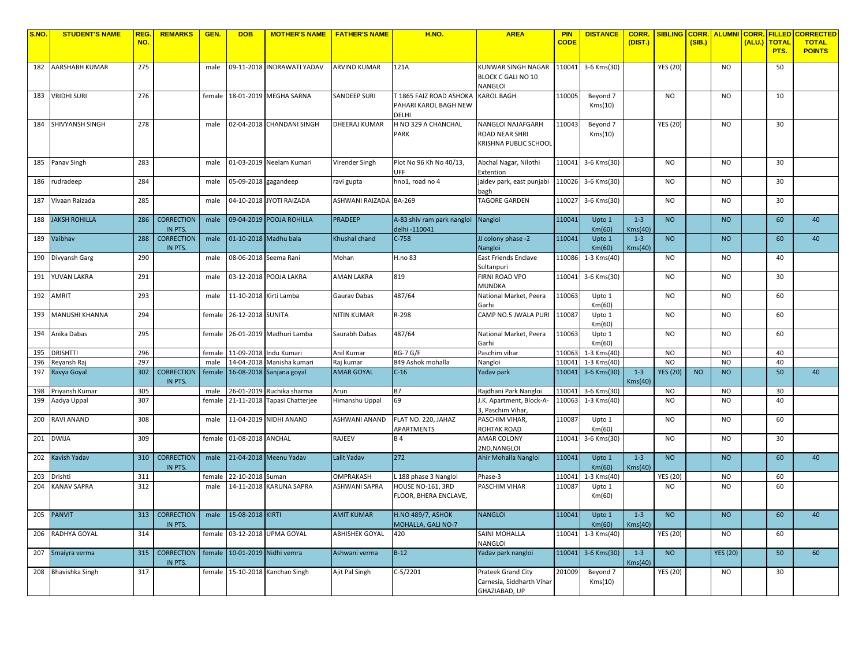| <b>S.NO.</b> | <b>STUDENT'S NAME</b>         | REG        | <b>REMARKS</b>               | GEN.           | <b>DOB</b>               | <b>MOTHER'S NAME</b>                           | <b>FATHER'S NAME</b>   | H.NO.                                            | <b>AREA</b>                                       | <b>PIN</b>       | <b>DISTANCE</b>            | CORR.              | <b>SIBLING</b>         |           | <b>CORR. ALUMNI CORR.</b> |                      | <b>FILLED CORRECTED</b>       |
|--------------|-------------------------------|------------|------------------------------|----------------|--------------------------|------------------------------------------------|------------------------|--------------------------------------------------|---------------------------------------------------|------------------|----------------------------|--------------------|------------------------|-----------|---------------------------|----------------------|-------------------------------|
|              |                               | NO.        |                              |                |                          |                                                |                        |                                                  |                                                   | <b>CODE</b>      |                            | (DIST.)            |                        | (SIB.)    |                           | (ALU.) TOTAL<br>PTS. | <b>TOTAL</b><br><b>POINTS</b> |
|              |                               |            |                              |                |                          |                                                |                        |                                                  |                                                   |                  |                            |                    |                        |           |                           |                      |                               |
|              | 182 AARSHABH KUMAR            | 275        |                              | male           |                          | 09-11-2018 INDRAWATI YADAV                     | <b>ARVIND KUMAR</b>    | 121A                                             | KUNWAR SINGH NAGAR                                |                  | 110041 3-6 Kms(30)         |                    | <b>YES (20)</b>        |           | <b>NO</b>                 | 50                   |                               |
|              |                               |            |                              |                |                          |                                                |                        |                                                  | <b>BLOCK C GALI NO 10</b>                         |                  |                            |                    |                        |           |                           |                      |                               |
|              |                               |            |                              |                |                          |                                                |                        |                                                  | VANGLOI                                           |                  |                            |                    | <b>NO</b>              |           |                           |                      |                               |
|              | 183 VRIDHI SURI               | 276        |                              | female         |                          | 18-01-2019 MEGHA SARNA                         | <b>SANDEEP SURI</b>    | T 1865 FAIZ ROAD ASHOKA<br>PAHARI KAROL BAGH NEW | <b>KAROL BAGH</b>                                 | 110005           | Beyond 7<br>Kms(10)        |                    |                        |           | <b>NO</b>                 | 10                   |                               |
|              |                               |            |                              |                |                          |                                                |                        | <b>DELHI</b>                                     |                                                   |                  |                            |                    |                        |           |                           |                      |                               |
|              | 184 SHIVYANSH SINGH           | 278        |                              | male           |                          | 02-04-2018 CHANDANI SINGH                      | DHEERAJ KUMAR          | H NO 329 A CHANCHAL                              | NANGLOI NAJAFGARH                                 | 110043           | Beyond 7                   |                    | <b>YES (20)</b>        |           | N <sub>O</sub>            | 30                   |                               |
|              |                               |            |                              |                |                          |                                                |                        | PARK                                             | ROAD NEAR SHRI                                    |                  | Kms(10)                    |                    |                        |           |                           |                      |                               |
|              |                               |            |                              |                |                          |                                                |                        |                                                  | KRISHNA PUBLIC SCHOOL                             |                  |                            |                    |                        |           |                           |                      |                               |
|              |                               |            |                              |                |                          |                                                |                        |                                                  |                                                   |                  |                            |                    |                        |           |                           |                      |                               |
| 185          | Panav Singh                   | 283        |                              | male           |                          | 01-03-2019 Neelam Kumari                       | Virender Singh         | Plot No 96 Kh No 40/13,<br>UFF                   | Abchal Nagar, Nilothi                             | 110041           | 3-6 Kms(30)                |                    | <b>NO</b>              |           | <b>NO</b>                 | 30                   |                               |
| 186          | rudradeep                     | 284        |                              | male           | 05-09-2018 gagandeep     |                                                | ravi gupta             | hno1, road no 4                                  | Extention<br>jaidev park, east punjabi            |                  | 110026 3-6 Kms(30)         |                    | <b>NO</b>              |           | <b>NO</b>                 | 30                   |                               |
|              |                               |            |                              |                |                          |                                                |                        |                                                  | oagh                                              |                  |                            |                    |                        |           |                           |                      |                               |
| 187          | Vivaan Raizada                | 285        |                              | male           |                          | 04-10-2018 JYOTI RAIZADA                       | ASHWANI RAIZADA BA-269 |                                                  | TAGORE GARDEN                                     | 110027           | 3-6 Kms(30)                |                    | NO.                    |           | <b>NO</b>                 | 30                   |                               |
|              |                               |            |                              |                |                          |                                                |                        |                                                  |                                                   |                  |                            |                    |                        |           |                           |                      |                               |
| 188          | <b>JAKSH ROHILLA</b>          | 286        | <b>CORRECTION</b>            | male           |                          | 09-04-2019 POOJA ROHILLA                       | <b>PRADEEP</b>         | A-83 shiv ram park nangloi                       | Nangloi                                           | 110041           | Upto 1                     | $1 - 3$            | <b>NO</b>              |           | <b>NO</b>                 | 60                   | 40                            |
|              |                               |            | IN PTS.                      |                |                          |                                                |                        | delhi -110041                                    |                                                   |                  | Km(60)                     | Kms(40)            |                        |           |                           |                      |                               |
| 189          | Vaibhav                       | 288        | <b>CORRECTION</b>            | male           |                          | 01-10-2018 Madhu bala                          | Khushal chand          | $C-758$                                          | JJ colony phase -2                                | 110041           | Upto 1                     | $1 - 3$            | <b>NO</b>              |           | <b>NO</b>                 | 60                   | 40                            |
| 190          | Divyansh Garg                 | 290        | IN PTS.                      | male           |                          | 08-06-2018 Seema Rani                          | Mohan                  | H.no 83                                          | Nangloi<br>East Friends Enclave                   | 110086           | Km(60)<br>1-3 Kms(40)      | Kms(40)            | <b>NO</b>              |           | <b>NO</b>                 | 40                   |                               |
|              |                               |            |                              |                |                          |                                                |                        |                                                  | Sultanpuri                                        |                  |                            |                    |                        |           |                           |                      |                               |
| 191          | YUVAN LAKRA                   | 291        |                              | male           |                          | 03-12-2018 POOJA LAKRA                         | <b>AMAN LAKRA</b>      | 819                                              | FIRNI ROAD VPO                                    | 110041           | 3-6 Kms(30)                |                    | <b>NO</b>              |           | <b>NO</b>                 | 30                   |                               |
|              |                               |            |                              |                |                          |                                                |                        |                                                  | MUNDKA                                            |                  |                            |                    |                        |           |                           |                      |                               |
| 192          | <b>AMRIT</b>                  | 293        |                              | male           | 11-10-2018 Kirti Lamba   |                                                | Gauray Dabas           | 487/64                                           | National Market, Peera                            | 110063           | Upto 1                     |                    | <b>NO</b>              |           | <b>NO</b>                 | 60                   |                               |
|              |                               |            |                              |                |                          |                                                |                        |                                                  | Garhi                                             |                  | Km(60)                     |                    |                        |           |                           |                      |                               |
| 193          | <b>MANUSHI KHANNA</b>         | 294        |                              | female         | 26-12-2018 SUNITA        |                                                | <b>NITIN KUMAR</b>     | R-298                                            | CAMP NO.5 JWALA PURI                              | 110087           | Upto 1                     |                    | <b>NO</b>              |           | <b>NO</b>                 | 60                   |                               |
|              | 194 Anika Dabas               | 295        |                              | female         |                          | 26-01-2019 Madhuri Lamba                       | Saurabh Dabas          | 487/64                                           | National Market, Peera                            | 110063           | Km(60)<br>Upto 1           |                    | <b>NO</b>              |           | N <sub>O</sub>            | 60                   |                               |
|              |                               |            |                              |                |                          |                                                |                        |                                                  | Garhi                                             |                  | Km(60)                     |                    |                        |           |                           |                      |                               |
| 195          | <b>DRISHTTI</b>               | 296        |                              | female         |                          | 11-09-2018 Indu Kumari                         | Anil Kumar             | <b>BG-7 G/F</b>                                  | Paschim vihar                                     | 110063           | 1-3 Kms(40)                |                    | <b>NO</b>              |           | N <sub>O</sub>            | 40                   |                               |
| 196          | Reyansh Raj                   | 297        |                              | male           |                          | 14-04-2018 Manisha kumari                      | Raj kumar              | 849 Ashok mohalla                                | Nangloi                                           | 110041           | 1-3 Kms(40)                |                    | N <sub>O</sub>         |           | N <sub>O</sub>            | 40                   |                               |
| 197          | Ravya Goyal                   | 302        | <b>CORRECTION</b>            | female         |                          | 16-08-2018 Sanjana goyal                       | <b>AMAR GOYAL</b>      | $C-16$                                           | Yadav park                                        |                  | 110041 3-6 Kms(30)         | $1 - 3$            | <b>YES (20)</b>        | <b>NO</b> | <b>NO</b>                 | 50                   | 40                            |
|              |                               |            | IN PTS.                      |                |                          |                                                |                        |                                                  |                                                   |                  |                            | Kms(40)            |                        |           |                           |                      |                               |
| 198<br>199   | Priyansh Kumar<br>Aadya Uppal | 305<br>307 |                              | male<br>female | 21-11-2018               | 26-01-2019 Ruchika sharma<br>Tapasi Chatterjee | Arun<br>Himanshu Uppal | B7<br>69                                         | Rajdhani Park Nangloi<br>J.K. Apartment, Block-A- | 110041<br>110063 | 3-6 Kms(30)<br>1-3 Kms(40) |                    | <b>NO</b><br><b>NO</b> |           | <b>NO</b><br><b>NO</b>    | 30<br>40             |                               |
|              |                               |            |                              |                |                          |                                                |                        |                                                  | 3, Paschim Vihar,                                 |                  |                            |                    |                        |           |                           |                      |                               |
| 200          | RAVI ANAND                    | 308        |                              | male           |                          | 11-04-2019 NIDHI ANAND                         | ASHWANI ANAND          | FLAT NO. 220, JAHAZ                              | PASCHIM VIHAR,                                    | 110087           | Upto 1                     |                    | <b>NO</b>              |           | <b>NO</b>                 | 60                   |                               |
|              |                               |            |                              |                |                          |                                                |                        | APARTMENTS                                       | ROHTAK ROAD                                       |                  | Km(60)                     |                    |                        |           |                           |                      |                               |
| 201          | <b>DWIJA</b>                  | 309        |                              |                | female 01-08-2018 ANCHAL |                                                | RAJEEV                 | <b>B4</b>                                        | <b>AMAR COLONY</b>                                | 110041           | 3-6 Kms(30)                |                    | <b>NO</b>              |           | <b>NO</b>                 | 30                   |                               |
|              |                               |            |                              |                |                          |                                                |                        |                                                  | 2ND, NANGLOI                                      |                  |                            |                    |                        |           |                           |                      |                               |
| 202          | Kavish Yadav                  | 310        | <b>CORRECTION</b><br>IN PTS. | male           |                          | 21-04-2018 Meenu Yadav                         | Lalit Yadav            | 272                                              | Ahir Mohalla Nangloi                              | 110041           | Upto 1<br>Km(60)           | $1 - 3$<br>Kms(40) | <b>NO</b>              |           | <b>NO</b>                 | 60                   | 40                            |
| 203          | Drishti                       | 311        |                              | female         | 22-10-2018 Suman         |                                                | OMPRAKASH              | L 188 phase 3 Nangloi                            | Phase-3                                           | 110041           | 1-3 Kms(40)                |                    | <b>YES (20)</b>        |           | <b>NO</b>                 | 60                   |                               |
| 204          | <b>KANAV SAPRA</b>            | 312        |                              | male           |                          | 14-11-2018 KARUNA SAPRA                        | ASHWANI SAPRA          | HOUSE NO-161, 3RD                                | PASCHIM VIHAR                                     | 110087           | Upto 1                     |                    | <b>NO</b>              |           | N <sub>O</sub>            | 60                   |                               |
|              |                               |            |                              |                |                          |                                                |                        | FLOOR. BHERA ENCLAVE.                            |                                                   |                  | Km(60)                     |                    |                        |           |                           |                      |                               |
|              |                               |            |                              |                |                          |                                                |                        |                                                  |                                                   |                  |                            |                    |                        |           |                           |                      |                               |
| 205          | <b>PANVIT</b>                 | 313        | <b>CORRECTION</b>            | male           | 15-08-2018 KIRTI         |                                                | <b>AMIT KUMAR</b>      | <b>H.NO 489/7, ASHOK</b>                         | <b>NANGLOI</b>                                    | 110041           | Upto 1                     | $1 - 3$            | <b>NO</b>              |           | <b>NO</b>                 | 60                   | 40                            |
|              |                               |            | IN PTS.                      |                |                          |                                                |                        | MOHALLA, GALI NO-7                               |                                                   |                  | Km(60)                     | Kms(40)            |                        |           |                           |                      |                               |
| 206          | RADHYA GOYAL                  | 314        |                              | female         |                          | 03-12-2018 UPMA GOYAL                          | ABHISHEK GOYAL         | 420                                              | SAINI MOHALLA<br>NANGLOI                          | 110041           | 1-3 Kms(40)                |                    | <b>YES (20)</b>        |           | <b>NO</b>                 | 60                   |                               |
| 207          | Smaiyra verma                 | 315        | <b>CORRECTION</b>            | female         |                          | 10-01-2019 Nidhi vemra                         | Ashwani verma          | $B-12$                                           | Yadav park nangloi                                |                  | 110041 3-6 Kms(30)         | $1 - 3$            | <b>NO</b>              |           | <b>YES (20)</b>           | 50                   | 60                            |
|              |                               |            | IN PTS.                      |                |                          |                                                |                        |                                                  |                                                   |                  |                            | Kms(40)            |                        |           |                           |                      |                               |
|              | 208 Bhavishka Singh           | 317        |                              |                |                          | female 15-10-2018 Kanchan Singh                | Ajit Pal Singh         | $C-5/2201$                                       | Prateek Grand City                                | 201009           | Beyond 7                   |                    | <b>YES (20)</b>        |           | <b>NO</b>                 | 30                   |                               |
|              |                               |            |                              |                |                          |                                                |                        |                                                  | Carnesia, Siddharth Vihar                         |                  | Kms(10)                    |                    |                        |           |                           |                      |                               |
|              |                               |            |                              |                |                          |                                                |                        |                                                  | GHAZIABAD, UP                                     |                  |                            |                    |                        |           |                           |                      |                               |